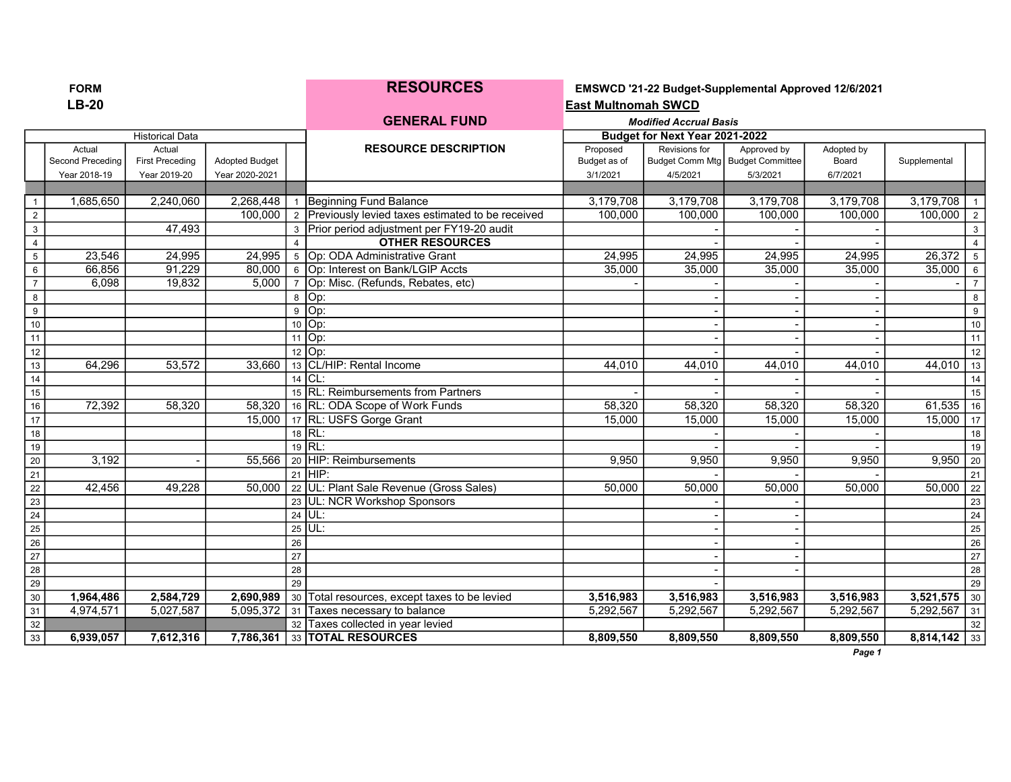| ORM |  |
|-----|--|
| יכ- |  |

RESOURCES EMSWCD '21-22 Budget-Supplemental Approved 12/6/2021 LB-20 East Multnomah SWCD

|                 |                  |                        |                       |    | <b>GENERAL FUND</b>                                | <b>Modified Accrual Basis</b> |                                |                                    |            |                |                  |
|-----------------|------------------|------------------------|-----------------------|----|----------------------------------------------------|-------------------------------|--------------------------------|------------------------------------|------------|----------------|------------------|
|                 |                  | <b>Historical Data</b> |                       |    |                                                    |                               | Budget for Next Year 2021-2022 |                                    |            |                |                  |
|                 | Actual           | Actual                 |                       |    | <b>RESOURCE DESCRIPTION</b>                        | Proposed                      | Revisions for                  | Approved by                        | Adopted by |                |                  |
|                 | Second Preceding | <b>First Preceding</b> | <b>Adopted Budget</b> |    |                                                    | Budget as of                  |                                | Budget Comm Mtg   Budget Committee | Board      | Supplemental   |                  |
|                 | Year 2018-19     | Year 2019-20           | Year 2020-2021        |    |                                                    | 3/1/2021                      | 4/5/2021                       | 5/3/2021                           | 6/7/2021   |                |                  |
|                 |                  |                        |                       |    |                                                    |                               |                                |                                    |            |                |                  |
| $\overline{1}$  | 1,685,650        | 2,240,060              | 2,268,448             |    | Beginning Fund Balance                             | 3,179,708                     | 3,179,708                      | 3,179,708                          | 3,179,708  | 3,179,708      | $\overline{1}$   |
| $\overline{2}$  |                  |                        | 100,000               |    | 2 Previously levied taxes estimated to be received | 100,000                       | 100,000                        | 100,000                            | 100,000    | 100,000        | $\vert$ 2        |
| $\mathbf{3}$    |                  | 47,493                 |                       | 3  | Prior period adjustment per FY19-20 audit          |                               |                                |                                    |            |                | 3                |
| $\overline{4}$  |                  |                        |                       |    | <b>OTHER RESOURCES</b>                             |                               |                                |                                    |            |                |                  |
| $5\phantom{.0}$ | 23,546           | 24,995                 | 24,995                |    | 5 Op: ODA Administrative Grant                     | 24,995                        | 24.995                         | 24,995                             | 24,995     | 26,372         | 5                |
| $\,6\,$         | 66,856           | 91,229                 | 80,000                |    | 6 Op: Interest on Bank/LGIP Accts                  | 35,000                        | 35,000                         | 35,000                             | 35,000     | 35,000         | 6                |
| $\overline{7}$  | 6,098            | 19,832                 | 5,000                 |    | 7 Op: Misc. (Refunds, Rebates, etc)                |                               |                                |                                    |            |                | $\overline{7}$   |
| 8               |                  |                        |                       |    | 8 Op:                                              |                               |                                |                                    |            |                | 8                |
| 9               |                  |                        |                       | 9  | Op:                                                |                               |                                |                                    |            |                | $\boldsymbol{9}$ |
| 10              |                  |                        |                       |    | 10 Op:                                             |                               |                                |                                    |            |                | $10$             |
| 11              |                  |                        |                       | 11 | Op:                                                |                               |                                |                                    |            |                | $\overline{11}$  |
| 12              |                  |                        |                       |    | $12$ $ Op$ :                                       |                               |                                |                                    |            |                | 12               |
| 13              | 64,296           | 53,572                 | 33,660                |    | 13 CL/HIP: Rental Income                           | 44,010                        | 44,010                         | 44,010                             | 44,010     | 44,010         | 13               |
| 14              |                  |                        |                       |    | $14$ CL:                                           |                               |                                |                                    |            |                | 14               |
| 15              |                  |                        |                       |    | 15 RL: Reimbursements from Partners                |                               |                                |                                    |            |                | 15               |
| 16              | 72,392           | 58,320                 | 58,320                |    | 16 RL: ODA Scope of Work Funds                     | 58,320                        | 58,320                         | 58,320                             | 58,320     | 61,535         | 16               |
| 17              |                  |                        | 15,000                |    | 17 RL: USFS Gorge Grant                            | 15.000                        | 15,000                         | 15,000                             | 15,000     | 15,000         | $\vert$ 17       |
| 18              |                  |                        |                       |    | 18 RL:                                             |                               |                                |                                    |            |                | 18               |
| 19              |                  |                        |                       |    | $\frac{1}{19}$ RL:                                 |                               |                                |                                    |            |                | 19               |
| $20\,$          | 3,192            |                        | 55,566                |    | 20 HIP: Reimbursements                             | 9,950                         | 9,950                          | 9,950                              | 9,950      | $9,950$   20   |                  |
| 21              |                  |                        |                       |    | $21$ HIP:                                          |                               |                                |                                    |            |                | 21               |
| 22              | 42.456           | 49,228                 | 50,000                |    | 22 UL: Plant Sale Revenue (Gross Sales)            | 50,000                        | 50,000                         | 50,000                             | 50,000     | $50,000$   22  |                  |
| 23              |                  |                        |                       |    | 23 UL: NCR Workshop Sponsors                       |                               |                                |                                    |            |                | $\overline{23}$  |
| 24              |                  |                        |                       |    | 24 UL:                                             |                               |                                |                                    |            |                | 24               |
| 25              |                  |                        |                       |    | $25$ UL:                                           |                               |                                |                                    |            |                | $\overline{25}$  |
| $\overline{26}$ |                  |                        |                       | 26 |                                                    |                               |                                |                                    |            |                | 26               |
| $\overline{27}$ |                  |                        |                       | 27 |                                                    |                               |                                |                                    |            |                | $\overline{27}$  |
| 28              |                  |                        |                       | 28 |                                                    |                               |                                |                                    |            |                | 28               |
| $\overline{29}$ |                  |                        |                       | 29 |                                                    |                               |                                |                                    |            |                | $\overline{29}$  |
| 30              | 1,964,486        | 2,584,729              | 2,690,989             |    | 30 Total resources, except taxes to be levied      | 3,516,983                     | 3,516,983                      | 3,516,983                          | 3,516,983  | 3,521,575      | 30               |
| 31              | 4,974,571        | 5,027,587              | 5,095,372             |    | 31 Taxes necessary to balance                      | 5,292,567                     | 5,292,567                      | 5,292,567                          | 5,292,567  | 5,292,567      | 31               |
| 32              |                  |                        |                       |    | 32 Taxes collected in year levied                  |                               |                                |                                    |            |                | 32               |
| $\overline{33}$ | 6,939,057        | 7,612,316              | 7,786,361             |    | 33 TOTAL RESOURCES                                 | 8,809,550                     | 8.809.550                      | 8,809,550                          | 8,809,550  | $8,814,142$ 33 |                  |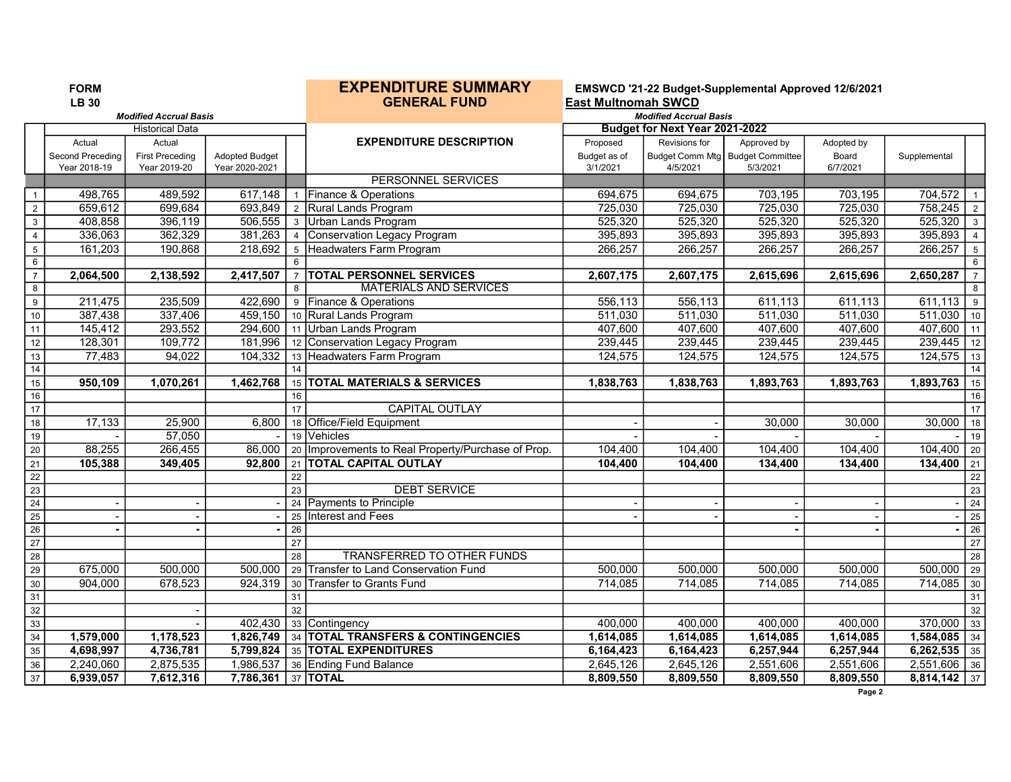|                         | <b>FORM</b><br><b>LB 30</b> |                               |                       |                 | <b>EXPENDITURE SUMMARY</b><br><b>GENERAL FUND</b>  | <b>East Multnomah SWCD</b> |                                       | EMSWCD '21-22 Budget-Supplemental Approved 12/6/2021 |            |                |                         |
|-------------------------|-----------------------------|-------------------------------|-----------------------|-----------------|----------------------------------------------------|----------------------------|---------------------------------------|------------------------------------------------------|------------|----------------|-------------------------|
|                         |                             | <b>Modified Accrual Basis</b> |                       |                 |                                                    |                            | <b>Modified Accrual Basis</b>         |                                                      |            |                |                         |
|                         |                             | <b>Historical Data</b>        |                       |                 |                                                    |                            | <b>Budget for Next Year 2021-2022</b> |                                                      |            |                |                         |
|                         | Actual                      | Actual                        |                       |                 | <b>EXPENDITURE DESCRIPTION</b>                     | Proposed                   | Revisions for                         | Approved by                                          | Adopted by |                |                         |
|                         | Second Preceding            | <b>First Preceding</b>        | <b>Adopted Budget</b> |                 |                                                    | Budget as of               | Budget Comm Mtg                       | <b>Budget Committee</b>                              | Board      | Supplemental   |                         |
|                         | Year 2018-19                | Year 2019-20                  | Year 2020-2021        |                 |                                                    | 3/1/2021                   | 4/5/2021                              | 5/3/2021                                             | 6/7/2021   |                |                         |
|                         |                             |                               |                       |                 | PERSONNEL SERVICES                                 |                            |                                       |                                                      |            |                |                         |
| $\overline{1}$          | 498,765                     | 489,592                       | 617,148               |                 | 1 Finance & Operations                             | 694,675                    | 694,675                               | 703,195                                              | 703,195    | 704,572        |                         |
| $\sqrt{2}$              | 659,612                     | 699,684                       | 693,849               |                 | 2 Rural Lands Program                              | 725,030                    | 725,030                               | 725,030                                              | 725,030    | 758,245        | $\overline{2}$          |
| $\overline{3}$          | 408,858                     | 396,119                       | 506,555               |                 | 3 Urban Lands Program                              | 525,320                    | 525,320                               | 525,320                                              | 525,320    | 525,320        | $\overline{\mathbf{3}}$ |
| $\overline{4}$          | 336,063                     | 362,329                       | 381,263               |                 | 4 Conservation Legacy Program                      | 395,893                    | 395,893                               | 395,893                                              | 395,893    | 395,893        | $\overline{4}$          |
| $\overline{5}$          | 161,203                     | 190,868                       | 218,692               |                 | 5 Headwaters Farm Program                          | 266,257                    | 266,257                               | 266,257                                              | 266,257    | 266,257        | $\overline{5}$          |
| $6\,$                   |                             |                               |                       | 6               |                                                    |                            |                                       |                                                      |            |                | $6\overline{6}$         |
| $\overline{7}$          | 2,064,500                   | 2,138,592                     | 2,417,507             |                 | 7   TOTAL PERSONNEL SERVICES                       | 2,607,175                  | 2,607,175                             | 2,615,696                                            | 2,615,696  | 2,650,287      | $\overline{7}$          |
| $\overline{\mathbf{8}}$ |                             |                               |                       | 8               | <b>MATERIALS AND SERVICES</b>                      |                            |                                       |                                                      |            |                | 8                       |
| $\overline{9}$          | 211,475                     | 235,509                       | 422,690               |                 | 9 Finance & Operations                             | 556,113                    | 556,113                               | 611,113                                              | 611,113    | 611,113        | 9                       |
| $10$                    | 387,438                     | 337,406                       | 459,150               |                 | 10 Rural Lands Program                             | 511,030                    | 511,030                               | 511,030                                              | 511,030    | 511,030        | 10                      |
| 11                      | 145,412                     | 293,552                       |                       |                 | 294,600   11 Urban Lands Program                   | 407,600                    | 407,600                               | 407,600                                              | 407,600    | $407,600$ 11   |                         |
| 12                      | 128,301                     | 109,772                       | 181,996               |                 | 12 Conservation Legacy Program                     | 239,445                    | 239,445                               | 239,445                                              | 239,445    | 239,445        | 12                      |
| $\frac{1}{3}$           | 77,483                      | 94,022                        | 104,332               |                 | 13 Headwaters Farm Program                         | 124,575                    | 124,575                               | 124,575                                              | 124,575    | 124,575        | 13                      |
| $\overline{14}$         |                             |                               |                       | 14              |                                                    |                            |                                       |                                                      |            |                | 14                      |
| 15                      | 950,109                     | 1,070,261                     | 1,462,768             |                 | 15 TOTAL MATERIALS & SERVICES                      | 1,838,763                  | 1,838,763                             | 1,893,763                                            | 1,893,763  | 1,893,763      | 15                      |
| $\overline{16}$         |                             |                               |                       | 16              |                                                    |                            |                                       |                                                      |            |                | 16                      |
| 17                      |                             |                               |                       | 17              | <b>CAPITAL OUTLAY</b>                              |                            |                                       |                                                      |            |                | 17                      |
| 18                      | 17,133                      | 25,900                        | 6,800                 |                 | 18 Office/Field Equipment                          |                            |                                       | 30,000                                               | 30,000     | 30,000         | 18                      |
| 19                      |                             | 57,050                        |                       |                 | 19 Vehicles                                        |                            |                                       |                                                      |            |                | 19                      |
| $\overline{20}$         | 88,255                      | 266,455                       | 86,000                |                 | 20 Improvements to Real Property/Purchase of Prop. | 104,400                    | 104,400                               | 104,400                                              | 104,400    | 104,400        | 20                      |
| $\overline{21}$         | 105,388                     | 349,405                       | 92.800                | 21              | <b>TOTAL CAPITAL OUTLAY</b>                        | 104,400                    | 104,400                               | 134,400                                              | 134,400    | 134,400        | 21                      |
| $\overline{22}$         |                             |                               |                       | 22              |                                                    |                            |                                       |                                                      |            |                | 22                      |
| 23                      |                             |                               |                       | 23              | <b>DEBT SERVICE</b>                                |                            |                                       |                                                      |            |                | 23                      |
| $\overline{24}$         |                             |                               |                       |                 | 24 Payments to Principle                           |                            |                                       |                                                      |            |                | $\overline{24}$         |
| $\overline{25}$         | $\overline{\phantom{a}}$    |                               |                       |                 | 25 Interest and Fees                               |                            |                                       |                                                      |            |                | 25                      |
| $\overline{26}$         | $\blacksquare$              |                               | $\blacksquare$        | 26              |                                                    |                            |                                       |                                                      |            | $\sim$         | $\boxed{26}$            |
| 27                      |                             |                               |                       | 27              |                                                    |                            |                                       |                                                      |            |                | $\overline{27}$         |
| $\overline{28}$         |                             |                               |                       | $\overline{28}$ | TRANSFERRED TO OTHER FUNDS                         |                            |                                       |                                                      |            |                | 28                      |
| $\overline{29}$         | 675,000                     | 500,000                       | 500,000               | 29              | <b>Transfer to Land Conservation Fund</b>          | 500,000                    | 500,000                               | 500,000                                              | 500,000    | 500,000        | 29                      |
| 30                      | 904,000                     | 678,523                       | 924,319               | 30              | <b>Transfer to Grants Fund</b>                     | 714,085                    | 714,085                               | 714,085                                              | 714,085    | $714,085$ 30   |                         |
| $\overline{31}$         |                             |                               |                       | 31              |                                                    |                            |                                       |                                                      |            |                | 31                      |
| $\overline{32}$         |                             |                               |                       | 32              |                                                    |                            |                                       |                                                      |            |                | 32                      |
| 33                      |                             |                               | 402,430               |                 | 33 Contingency                                     | 400,000                    | 400,000                               | 400,000                                              | 400,000    | 370,000        | 33                      |
| $\overline{34}$         | 1,579,000                   | 1,178,523                     | 1,826,749             |                 | 34 TOTAL TRANSFERS & CONTINGENCIES                 | 1,614,085                  | 1,614,085                             | 1,614,085                                            | 1,614,085  | $1,584,085$ 34 |                         |
| 35                      | 4,698,997                   | 4,736,781                     | 5,799,824             |                 | 35 TOTAL EXPENDITURES                              | 6,164,423                  | 6,164,423                             | 6,257,944                                            | 6,257,944  | $6,262,535$ 35 |                         |
| 36                      | 2,240,060                   | 2,875,535                     | 1,986,537             |                 | 36 Ending Fund Balance                             | 2,645,126                  | 2,645,126                             | 2,551,606                                            | 2,551,606  | $2,551,606$ 36 |                         |
| 37                      | 6,939,057                   | 7,612,316                     | 7,786,361 37 TOTAL    |                 |                                                    | 8,809,550                  | 8,809,550                             | 8,809,550                                            | 8,809,550  | $8,814,142$ 37 |                         |
|                         |                             |                               |                       |                 |                                                    |                            |                                       |                                                      | Page 2     |                |                         |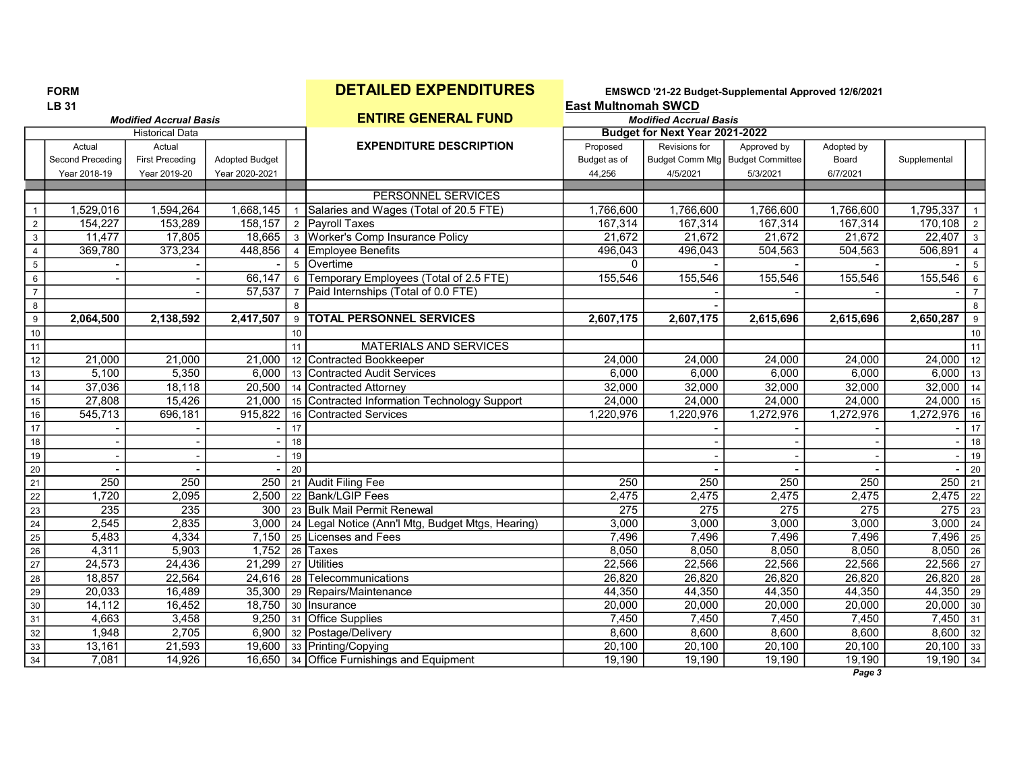FORM **DETAILED EXPENDITURES** EMSWCD '21-22 Budget-Supplemental Approved 12/6/2021<br>LB 31 **East Multnomah SWCD** 

|                 |                  | <b>Modified Accrual Basis</b> |                       |                | <b>ENTIRE GENERAL FUND</b>                        |              | <b>Modified Accrual Basis</b>  |                                    |            |                          |                |
|-----------------|------------------|-------------------------------|-----------------------|----------------|---------------------------------------------------|--------------|--------------------------------|------------------------------------|------------|--------------------------|----------------|
|                 |                  | <b>Historical Data</b>        |                       |                |                                                   |              | Budget for Next Year 2021-2022 |                                    |            |                          |                |
|                 | Actual           | Actual                        |                       |                | <b>EXPENDITURE DESCRIPTION</b>                    | Proposed     | Revisions for                  | Approved by                        | Adopted by |                          |                |
|                 | Second Preceding | <b>First Preceding</b>        | <b>Adopted Budget</b> |                |                                                   | Budget as of |                                | Budget Comm Mtg   Budget Committee | Board      | Supplemental             |                |
|                 | Year 2018-19     | Year 2019-20                  | Year 2020-2021        |                |                                                   | 44,256       | 4/5/2021                       | 5/3/2021                           | 6/7/2021   |                          |                |
|                 |                  |                               |                       |                |                                                   |              |                                |                                    |            |                          |                |
|                 |                  |                               |                       |                | <b>PERSONNEL SERVICES</b>                         |              |                                |                                    |            |                          |                |
| $\mathbf{1}$    | 1,529,016        | 1,594,264                     | 1,668,145             | $\mathbf{1}$   | Salaries and Wages (Total of 20.5 FTE)            | 1.766.600    | 1,766,600                      | 1,766,600                          | 1,766,600  | 1.795.337                | $\overline{1}$ |
| $\overline{2}$  | 154,227          | 153,289                       | 158,157               |                | 2 Payroll Taxes                                   | 167,314      | 167,314                        | 167,314                            | 167,314    | $170,108$   2            |                |
| $\mathbf{3}$    | 11,477           | 17,805                        |                       |                | 18,665 3 Worker's Comp Insurance Policy           | 21,672       | 21,672                         | 21,672                             | 21,672     | $22,407$ 3               |                |
| $\overline{4}$  | 369,780          | 373,234                       | 448,856               |                | 4 Employee Benefits                               | 496,043      | 496,043                        | 504,563                            | 504,563    | 506,891                  | $\vert$ 4      |
| $5\overline{)}$ |                  |                               |                       |                | 5 Overtime                                        | $\Omega$     |                                |                                    |            |                          | -5             |
| $6\phantom{.}$  |                  |                               | 66,147                |                | 6 Temporary Employees (Total of 2.5 FTE)          | 155,546      | 155,546                        | 155,546                            | 155,546    | 155,546                  | 6              |
| $\overline{7}$  |                  |                               | 57.537                | $\overline{7}$ | Paid Internships (Total of 0.0 FTE)               |              |                                |                                    |            |                          | $\overline{7}$ |
| 8               |                  |                               |                       | 8              |                                                   |              |                                |                                    |            |                          | 8              |
| 9               | 2,064,500        | 2,138,592                     | 2,417,507             |                | 9   TOTAL PERSONNEL SERVICES                      | 2,607,175    | 2,607,175                      | 2,615,696                          | 2,615,696  | 2,650,287                | 9              |
| 10              |                  |                               |                       | 10             |                                                   |              |                                |                                    |            |                          | 10             |
| 11              |                  |                               |                       | 11             | <b>MATERIALS AND SERVICES</b>                     |              |                                |                                    |            |                          | 11             |
| 12              | 21,000           | 21,000                        | 21,000                |                | 12 Contracted Bookkeeper                          | 24,000       | 24,000                         | 24,000                             | 24,000     | $\overline{24,000}$   12 |                |
| 13              | 5,100            | 5,350                         | 6.000                 |                | 13 Contracted Audit Services                      | 6.000        | 6,000                          | 6,000                              | 6,000      | $6,000$ 13               |                |
| 14              | 37,036           | 18,118                        | 20,500                |                | 14 Contracted Attorney                            | 32,000       | 32,000                         | 32,000                             | 32,000     | $32,000$   14            |                |
| 15              | 27,808           | 15,426                        | 21,000                |                | 15 Contracted Information Technology Support      | 24,000       | 24,000                         | 24,000                             | 24,000     | $\overline{24,000}$ 15   |                |
| $16\,$          | 545,713          | 696,181                       | 915,822               |                | 16 Contracted Services                            | 1,220,976    | 1,220,976                      | 1,272,976                          | 1,272,976  | $1,272,976$ 16           |                |
| $17$            |                  |                               |                       | 17             |                                                   |              |                                |                                    |            |                          | 17             |
| $18\,$          |                  |                               |                       | 18             |                                                   |              |                                |                                    |            |                          | 18             |
| 19              |                  |                               |                       | 19             |                                                   |              |                                |                                    |            |                          | 19             |
| 20              |                  |                               |                       | 20             |                                                   |              |                                |                                    |            |                          | 20             |
| 21              | 250              | 250                           | 250                   |                | 21 Audit Filing Fee                               | 250          | 250                            | 250                                | 250        | $250$ 21                 |                |
| $\overline{22}$ | 1,720            | 2,095                         | 2,500                 |                | 22 Bank/LGIP Fees                                 | 2,475        | 2,475                          | 2,475                              | 2,475      | $2,475$ 22               |                |
| 23              | 235              | 235                           | 300                   |                | 23 Bulk Mail Permit Renewal                       | 275          | 275                            | 275                                | 275        | $275$ 23                 |                |
| 24              | 2,545            | 2,835                         | 3,000                 |                | 24 Legal Notice (Ann'l Mtg, Budget Mtgs, Hearing) | 3,000        | 3,000                          | 3,000                              | 3,000      | $3,000$ 24               |                |
| 25              | 5,483            | 4,334                         | 7,150                 |                | 25 ILicenses and Fees                             | 7,496        | 7,496                          | 7,496                              | 7,496      | $7,496$   25             |                |
| $\overline{26}$ | 4,311            | 5,903                         | 1,752                 |                | 26 Taxes                                          | 8,050        | 8,050                          | 8,050                              | 8,050      | $8,050$ 26               |                |
| 27              | 24,573           | 24,436                        | 21,299                |                | 27 Utilities                                      | 22,566       | 22,566                         | 22,566                             | 22,566     | $22,566$   27            |                |
| $\overline{28}$ | 18,857           | 22,564                        | 24,616                |                | 28 Telecommunications                             | 26,820       | 26,820                         | 26,820                             | 26,820     | $\overline{26,820}$ 28   |                |
| 29              | 20,033           | 16,489                        | 35,300                |                | 29 Repairs/Maintenance                            | 44,350       | 44,350                         | 44,350                             | 44,350     | 44,350 29                |                |
| 30              | 14,112           | 16,452                        | 18,750                |                | 30 Insurance                                      | 20,000       | 20,000                         | 20,000                             | 20,000     | $20,000$ 30              |                |
| 31              | 4,663            | 3,458                         | 9.250                 |                | 31 Office Supplies                                | 7,450        | 7,450                          | 7,450                              | 7,450      | $7,450$ 31               |                |
| 32              | 1,948            | 2,705                         |                       |                | 6,900 32 Postage/Delivery                         | 8,600        | 8,600                          | 8,600                              | 8,600      | $8,600$ 32               |                |
| 33              | 13,161           | 21,593                        |                       |                | 19,600 33 Printing/Copying                        | 20,100       | 20,100                         | 20,100                             | 20,100     | $20,100$ 33              |                |
| 34              | 7,081            | 14,926                        |                       |                | 16,650 34 Office Furnishings and Equipment        | 19,190       | 19,190                         | 19,190                             | 19,190     | $19,190$ 34              |                |
|                 |                  |                               |                       |                |                                                   |              |                                |                                    |            |                          |                |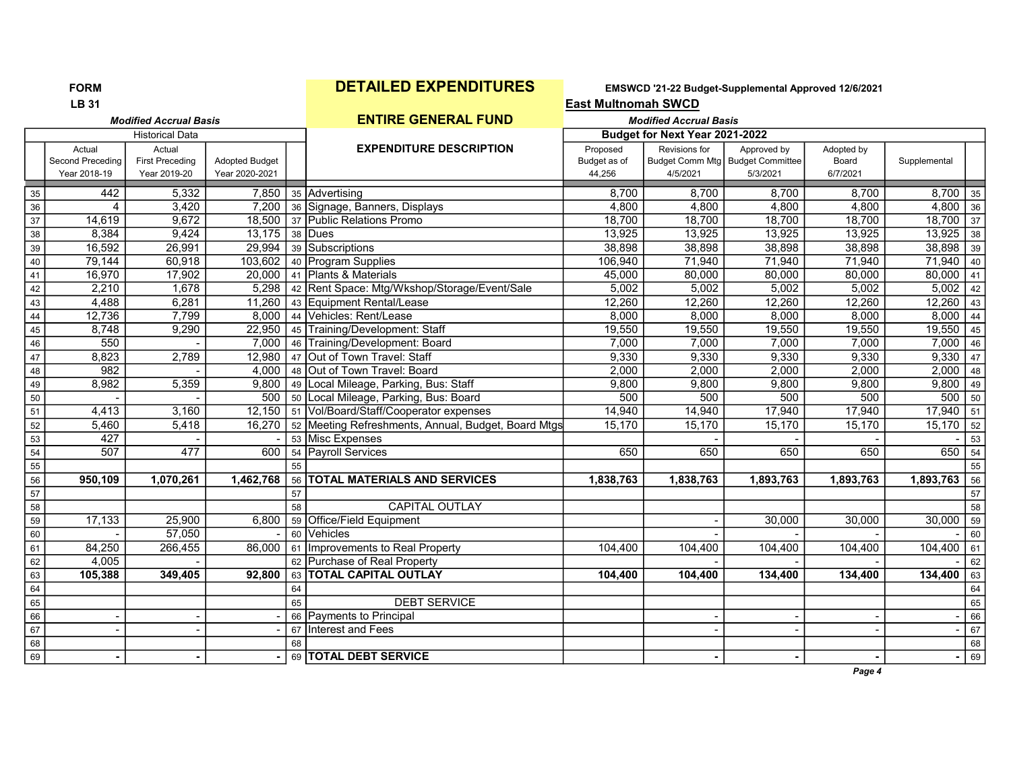|                 | <b>LB 31</b>     |                               |                       |    |                                                     | <b>East Multnomah SWCD</b> |                                |                                    |            |              |      |
|-----------------|------------------|-------------------------------|-----------------------|----|-----------------------------------------------------|----------------------------|--------------------------------|------------------------------------|------------|--------------|------|
|                 |                  | <b>Modified Accrual Basis</b> |                       |    | <b>ENTIRE GENERAL FUND</b>                          |                            | <b>Modified Accrual Basis</b>  |                                    |            |              |      |
|                 |                  | <b>Historical Data</b>        |                       |    |                                                     |                            | Budget for Next Year 2021-2022 |                                    |            |              |      |
|                 | Actual           | Actual                        |                       |    | <b>EXPENDITURE DESCRIPTION</b>                      | Proposed                   | Revisions for                  | Approved by                        | Adopted by |              |      |
|                 | Second Preceding | <b>First Preceding</b>        | <b>Adopted Budget</b> |    |                                                     | Budget as of               |                                | Budget Comm Mtg   Budget Committee | Board      | Supplemental |      |
|                 | Year 2018-19     | Year 2019-20                  | Year 2020-2021        |    |                                                     | 44,256                     | 4/5/2021                       | 5/3/2021                           | 6/7/2021   |              |      |
| 35              | 442              | 5,332                         | 7,850                 |    | 35 Advertising                                      | 8,700                      | 8,700                          | 8,700                              | 8,700      | 8,700        | 35   |
| 36              | 4                | 3,420                         | 7,200                 |    | 36 Signage, Banners, Displays                       | 4,800                      | 4,800                          | 4,800                              | 4,800      | $4,800$ 36   |      |
| 37              | 14.619           | 9,672                         | 18,500                |    | 37 Public Relations Promo                           | 18,700                     | 18,700                         | 18,700                             | 18,700     | $18,700$ 37  |      |
| 38              | 8,384            | 9,424                         | 13,175                |    | 38 Dues                                             | 13,925                     | 13,925                         | 13,925                             | 13,925     | 13,925       | 38   |
| 39              | 16,592           | 26,991                        | 29,994                |    | 39 Subscriptions                                    | 38,898                     | 38,898                         | 38,898                             | 38,898     | 38,898       | 39   |
| 40              | 79,144           | 60,918                        | 103,602               |    | 40 Program Supplies                                 | 106,940                    | 71,940                         | 71,940                             | 71,940     | 71,940       | 40   |
| 41              | 16,970           | 17,902                        | 20,000                |    | 41 Plants & Materials                               | 45,000                     | 80,000                         | 80,000                             | 80,000     | $80,000$ 41  |      |
| 42              | 2,210            | 1,678                         | 5,298                 |    | 42 Rent Space: Mtg/Wkshop/Storage/Event/Sale        | 5,002                      | 5,002                          | 5,002                              | 5,002      | 5,002        | 42   |
| 43              | 4,488            | 6,281                         | 11,260                |    | 43 Equipment Rental/Lease                           | 12,260                     | 12,260                         | 12,260                             | 12,260     | 12,260       | 43   |
| $\overline{44}$ | 12,736           | 7,799                         | 8,000                 |    | 44 Vehicles: Rent/Lease                             | 8,000                      | 8,000                          | 8,000                              | 8,000      | $8,000$ 44   |      |
| 45              | 8,748            | 9,290                         | 22,950                | 45 | Training/Development: Staff                         | 19,550                     | 19,550                         | 19,550                             | 19,550     | 19,550       | 45   |
| 46              | 550              |                               | 7,000                 |    | 46 Training/Development: Board                      | 7,000                      | 7,000                          | 7,000                              | 7,000      | $7,000$ 46   |      |
| $47\,$          | 8,823            | 2,789                         | 12,980                |    | 47 Out of Town Travel: Staff                        | 9,330                      | 9,330                          | 9,330                              | 9,330      | 9,330        | 47   |
| 48              | 982              |                               | 4,000                 |    | 48 Out of Town Travel: Board                        | 2,000                      | 2,000                          | 2,000                              | 2,000      | 2,000        | 48   |
| 49              | 8,982            | 5,359                         | 9,800                 |    | 49 Local Mileage, Parking, Bus: Staff               | 9,800                      | 9,800                          | 9,800                              | 9,800      | 9,800        | 49   |
| 50              |                  |                               | 500                   |    | 50 Local Mileage, Parking, Bus: Board               | 500                        | 500                            | 500                                | 500        | 500          | 50   |
| 51              | 4,413            | 3,160                         | 12,150                |    | 51 Vol/Board/Staff/Cooperator expenses              | 14,940                     | 14,940                         | 17,940                             | 17,940     | $17,940$ 51  |      |
| 52              | 5,460            | 5,418                         | 16,270                |    | 52 Meeting Refreshments, Annual, Budget, Board Mtgs | 15,170                     | 15,170                         | 15,170                             | 15,170     | 15,170       | 52   |
| 53              | 427              |                               |                       |    | 53 Misc Expenses                                    |                            |                                |                                    |            |              | 53   |
| 54              | 507              | 477                           | 600                   |    | 54 Payroll Services                                 | 650                        | 650                            | 650                                | 650        | $650$ 54     |      |
| $\overline{55}$ |                  |                               |                       | 55 |                                                     |                            |                                |                                    |            |              | 55   |
| 56              | 950,109          | 1,070,261                     | 1,462,768             |    | 56 TOTAL MATERIALS AND SERVICES                     | 1,838,763                  | 1,838,763                      | 1,893,763                          | 1,893,763  | 1,893,763    | 56   |
| 57              |                  |                               |                       | 57 |                                                     |                            |                                |                                    |            |              | 57   |
| 58              |                  |                               |                       | 58 | <b>CAPITAL OUTLAY</b>                               |                            |                                |                                    |            |              | 58   |
| 59              | 17,133           | 25,900                        | 6,800                 |    | 59 Office/Field Equipment                           |                            |                                | 30,000                             | 30,000     | 30,000       | 59   |
| 60              |                  | 57,050                        |                       |    | 60 Vehicles                                         |                            |                                |                                    |            |              | 60   |
| 61              | 84,250           | 266,455                       | 86,000                |    | 61 Improvements to Real Property                    | 104,400                    | 104,400                        | 104,400                            | 104,400    | $104,400$ 61 |      |
| 62              | 4,005            |                               |                       |    | 62 Purchase of Real Property                        |                            |                                |                                    |            |              | 62   |
| 63              | 105,388          | 349,405                       | 92,800                |    | 63   TOTAL CAPITAL OUTLAY                           | 104,400                    | 104,400                        | 134,400                            | 134,400    | 134,400      | 63   |
| 64              |                  |                               |                       | 64 |                                                     |                            |                                |                                    |            |              | 64   |
| 65              |                  |                               |                       | 65 | <b>DEBT SERVICE</b>                                 |                            |                                |                                    |            |              | 65   |
| 66              |                  |                               |                       |    | 66 Payments to Principal                            |                            |                                |                                    |            |              | 66   |
| 67              |                  |                               |                       | 67 | Interest and Fees                                   |                            |                                |                                    | $\sim$     |              | 67   |
| 68              |                  |                               |                       | 68 |                                                     |                            |                                |                                    |            |              | $68$ |
| 69              |                  |                               | $\blacksquare$        |    | 69 TOTAL DEBT SERVICE                               |                            |                                |                                    |            |              | 69   |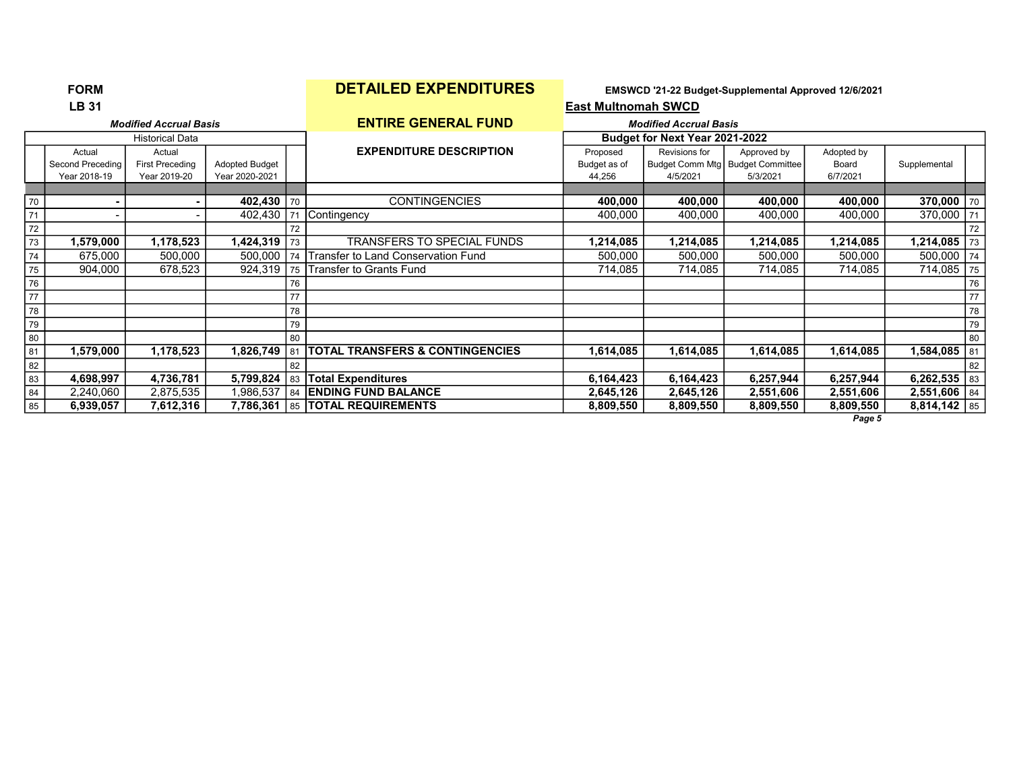|    | <b>LB 31</b>               |                                  |                |    |                                            | <b>East Multnomah SWCD</b> |                                |                                                   |                     |                |    |
|----|----------------------------|----------------------------------|----------------|----|--------------------------------------------|----------------------------|--------------------------------|---------------------------------------------------|---------------------|----------------|----|
|    |                            | <b>Modified Accrual Basis</b>    |                |    | <b>ENTIRE GENERAL FUND</b>                 |                            | <b>Modified Accrual Basis</b>  |                                                   |                     |                |    |
|    |                            | Historical Data                  |                |    |                                            |                            | Budget for Next Year 2021-2022 |                                                   |                     |                |    |
|    | Actual<br>Second Preceding | Actual<br><b>First Preceding</b> | Adopted Budget |    | <b>EXPENDITURE DESCRIPTION</b>             | Proposed<br>Budget as of   | Revisions for                  | Approved by<br>Budget Comm Mtg   Budget Committee | Adopted by<br>Board | Supplemental   |    |
|    | Year 2018-19               | Year 2019-20                     | Year 2020-2021 |    |                                            | 44,256                     | 4/5/2021                       | 5/3/2021                                          | 6/7/2021            |                |    |
|    |                            |                                  |                |    |                                            |                            |                                |                                                   |                     |                |    |
| 70 | $\blacksquare$             |                                  | 402,430 70     |    | <b>CONTINGENCIES</b>                       | 400,000                    | 400,000                        | 400,000                                           | 400,000             | 370,000        | 70 |
| 71 |                            |                                  | 402,430        | 71 | Contingency                                | 400,000                    | 400,000                        | 400,000                                           | 400,000             | 370,000        | 71 |
| 72 |                            |                                  |                | 72 |                                            |                            |                                |                                                   |                     |                | 72 |
| 73 | 1,579,000                  | 1,178,523                        | 424,319,       | 73 | <b>TRANSFERS TO SPECIAL FUNDS</b>          | 214,085.ا                  | .214,085                       | 1,214,085                                         | 1,214,085           | 1,214,085      | 73 |
| 74 | 675,000                    | 500,000                          | 500,000        | 74 | Transfer to Land Conservation Fund         | 500,000                    | 500,000                        | 500,000                                           | 500,000             | 500,000        | 74 |
| 75 | 904,000                    | 678,523                          | 924,319        | 75 | Transfer to Grants Fund                    | 714,085                    | 714,085                        | 714,085                                           | 714,085             | 714,085        | 75 |
| 76 |                            |                                  |                | 76 |                                            |                            |                                |                                                   |                     |                | 76 |
| 77 |                            |                                  |                | 77 |                                            |                            |                                |                                                   |                     |                | 77 |
| 78 |                            |                                  |                | 78 |                                            |                            |                                |                                                   |                     |                | 78 |
| 79 |                            |                                  |                | 79 |                                            |                            |                                |                                                   |                     |                | 79 |
| 80 |                            |                                  |                | 80 |                                            |                            |                                |                                                   |                     |                | 80 |
| 81 | 1,579,000                  | 1,178,523                        | 1,826,749      | 81 | <b>TOTAL TRANSFERS &amp; CONTINGENCIES</b> | 1,614,085                  | 1,614,085                      | 1,614,085                                         | 1,614,085           | 1,584,085      | 81 |
| 82 |                            |                                  |                | 82 |                                            |                            |                                |                                                   |                     |                | 82 |
| 83 | 4,698,997                  | 4,736,781                        | 5,799,824      | 83 | <b>Total Expenditures</b>                  | 6,164,423                  | 6,164,423                      | 6,257,944                                         | 6,257,944           | 6,262,535      | 83 |
| 84 | 2,240,060                  | 2,875,535                        |                |    | 1,986,537 84 ENDING FUND BALANCE           | 2,645,126                  | 2,645,126                      | 2,551,606                                         | 2,551,606           | $2,551,606$ 84 |    |
| 85 | 6,939,057                  | 7,612,316                        |                |    | 7.786.361 85 TOTAL REQUIREMENTS            | 8,809,550                  | 8,809,550                      | 8,809,550                                         | 8,809,550           | $8,814,142$ 85 |    |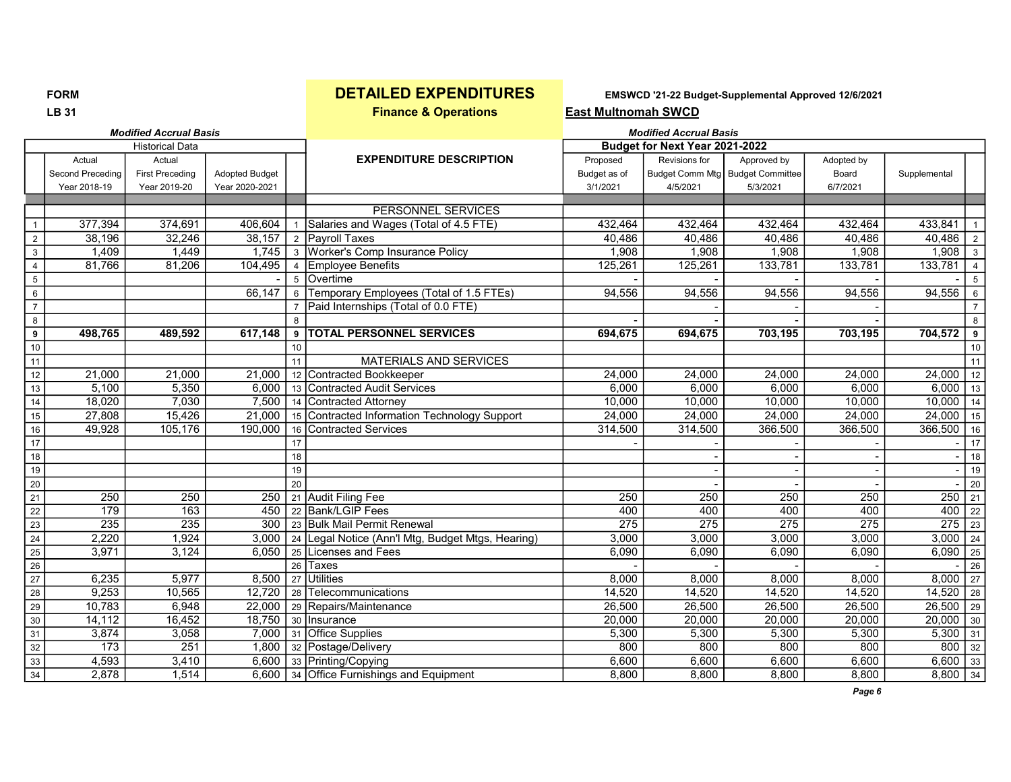**LB 31** East Multnomah SWCD **Finance & Operations** East Multnomah SWCD

|                         |                  | <b>Modified Accrual Basis</b> |                       |                 |                                                   |              | <b>Modified Accrual Basis</b>  |                                    |                  |              |                 |
|-------------------------|------------------|-------------------------------|-----------------------|-----------------|---------------------------------------------------|--------------|--------------------------------|------------------------------------|------------------|--------------|-----------------|
|                         |                  | <b>Historical Data</b>        |                       |                 |                                                   |              | Budget for Next Year 2021-2022 |                                    |                  |              |                 |
|                         | Actual           | Actual                        |                       |                 | <b>EXPENDITURE DESCRIPTION</b>                    | Proposed     | Revisions for                  | Approved by                        | Adopted by       |              |                 |
|                         | Second Preceding | <b>First Preceding</b>        | <b>Adopted Budget</b> |                 |                                                   | Budget as of |                                | Budget Comm Mtg   Budget Committee | Board            | Supplemental |                 |
|                         | Year 2018-19     | Year 2019-20                  | Year 2020-2021        |                 |                                                   | 3/1/2021     | 4/5/2021                       | 5/3/2021                           | 6/7/2021         |              |                 |
|                         |                  |                               |                       |                 |                                                   |              |                                |                                    |                  |              |                 |
|                         |                  |                               |                       |                 | PERSONNEL SERVICES                                |              |                                |                                    |                  |              |                 |
|                         | 377,394          | 374,691                       | 406,604               | $\mathbf{1}$    | Salaries and Wages (Total of 4.5 FTE)             | 432,464      | 432,464                        | 432,464                            | 432,464          | 433,841      | $\overline{1}$  |
| $\overline{2}$          | 38,196           | 32,246                        | 38,157                |                 | 2 Payroll Taxes                                   | 40,486       | 40,486                         | 40,486                             | 40,486           | $40,486$   2 |                 |
| $\overline{3}$          | 1,409            | 1,449                         | 1,745                 |                 | 3 Worker's Comp Insurance Policy                  | 1,908        | 1,908                          | 1,908                              | 1,908            | 1,908        | $\vert$ 3       |
| $\overline{4}$          | 81,766           | 81,206                        | 104,495               |                 | 4 Employee Benefits                               | 125,261      | 125,261                        | 133,781                            | 133,781          | 133,781      | $\overline{4}$  |
| $\overline{\mathbf{5}}$ |                  |                               |                       | $5^{\circ}$     | Overtime                                          |              |                                |                                    |                  |              | 5               |
| $\overline{6}$          |                  |                               | 66,147                | 6               | Temporary Employees (Total of 1.5 FTEs)           | 94,556       | 94,556                         | 94,556                             | 94,556           | 94,556       | 6               |
| $\overline{7}$          |                  |                               |                       | $\overline{7}$  | Paid Internships (Total of 0.0 FTE)               |              |                                |                                    |                  |              | $\overline{7}$  |
| $\overline{8}$          |                  |                               |                       | 8               |                                                   |              |                                |                                    |                  |              | 8               |
| $\overline{9}$          | 498,765          | 489,592                       | 617,148               | 9               | <b>TOTAL PERSONNEL SERVICES</b>                   | 694,675      | 694,675                        | 703,195                            | 703,195          | 704,572      | 9               |
| 10                      |                  |                               |                       | 10              |                                                   |              |                                |                                    |                  |              | 10              |
| 11                      |                  |                               |                       | 11              | <b>MATERIALS AND SERVICES</b>                     |              |                                |                                    |                  |              | 11              |
| $\overline{12}$         | 21,000           | 21,000                        | 21,000                | 12              | Contracted Bookkeeper                             | 24,000       | 24,000                         | 24,000                             | 24,000           | 24,000       | 12              |
| 13                      | 5,100            | 5,350                         | 6.000                 | 13              | Contracted Audit Services                         | 6,000        | 6,000                          | 6,000                              | 6,000            | 6,000        | 13              |
| $\overline{14}$         | 18,020           | 7,030                         | 7,500                 |                 | 14 Contracted Attorney                            | 10,000       | 10,000                         | 10,000                             | 10,000           | 10,000       | 14              |
| 15                      | 27,808           | 15,426                        | 21.000                |                 | 15 Contracted Information Technology Support      | 24,000       | 24,000                         | 24,000                             | 24,000           | 24,000       | 15              |
| $\overline{16}$         | 49,928           | 105,176                       | 190,000               |                 | 16 Contracted Services                            | 314,500      | 314,500                        | 366,500                            | 366,500          | $366,500$ 16 |                 |
| $\overline{17}$         |                  |                               |                       | 17              |                                                   |              |                                |                                    |                  |              | 17              |
| 18                      |                  |                               |                       | 18              |                                                   |              |                                |                                    |                  |              | 18              |
| 19                      |                  |                               |                       | 19              |                                                   |              |                                |                                    |                  |              | 19              |
| $\overline{20}$         |                  |                               |                       | 20              |                                                   |              |                                |                                    |                  |              | 20              |
| $\overline{21}$         | 250              | 250                           | 250                   |                 | 21 Audit Filing Fee                               | 250          | 250                            | 250                                | 250              | 250          | 21              |
| $\overline{22}$         | 179              | $\overline{163}$              | 450                   |                 | 22 Bank/LGIP Fees                                 | 400          | 400                            | 400                                | 400              | $400$ 22     |                 |
| 23                      | 235              | 235                           | 300                   |                 | 23 Bulk Mail Permit Renewal                       | 275          | 275                            | 275                                | $\overline{275}$ | $275$ 23     |                 |
| 24                      | 2,220            | 1,924                         | 3,000                 |                 | 24 Legal Notice (Ann'l Mtg, Budget Mtgs, Hearing) | 3,000        | 3,000                          | 3,000                              | 3,000            | $3,000$ 24   |                 |
| $\overline{25}$         | 3,971            | 3,124                         | 6,050                 | 25              | Licenses and Fees                                 | 6,090        | 6,090                          | 6,090                              | 6,090            | $6,090$ 25   |                 |
| $\overline{26}$         |                  |                               |                       | $\overline{26}$ | <b>Taxes</b>                                      |              |                                |                                    |                  |              | $\overline{26}$ |
| $\overline{27}$         | 6,235            | 5,977                         | 8,500                 | 27              | Utilities                                         | 8,000        | 8,000                          | 8,000                              | 8,000            | $8,000$ 27   |                 |
| $\overline{28}$         | 9,253            | 10,565                        | 12,720                |                 | 28 Telecommunications                             | 14,520       | 14,520                         | 14,520                             | 14,520           | $14,520$ 28  |                 |
| $\overline{29}$         | 10,783           | 6,948                         | 22,000                |                 | 29 Repairs/Maintenance                            | 26,500       | 26,500                         | 26,500                             | 26,500           | $26,500$ 29  |                 |
| 30                      | 14,112           | 16,452                        | 18,750                |                 | 30 Insurance                                      | 20,000       | 20,000                         | 20,000                             | 20,000           | $20,000$ 30  |                 |
| $\overline{31}$         | 3,874            | 3,058                         | 7,000                 |                 | 31 Office Supplies                                | 5,300        | 5,300                          | 5,300                              | 5,300            | $5,300$ 31   |                 |
| 32                      | 173              | 251                           | 1,800                 |                 | 32 Postage/Delivery                               | 800          | 800                            | 800                                | 800              | $800$ 32     |                 |
| $\overline{33}$         | 4,593            | 3,410                         |                       |                 | 6,600 33 Printing/Copying                         | 6,600        | 6,600                          | 6,600                              | 6,600            | $6,600$ 33   |                 |
| 34                      | 2,878            | 1,514                         |                       |                 | 6,600 34 Office Furnishings and Equipment         | 8,800        | 8,800                          | 8,800                              | 8,800            | $8,800$ 34   |                 |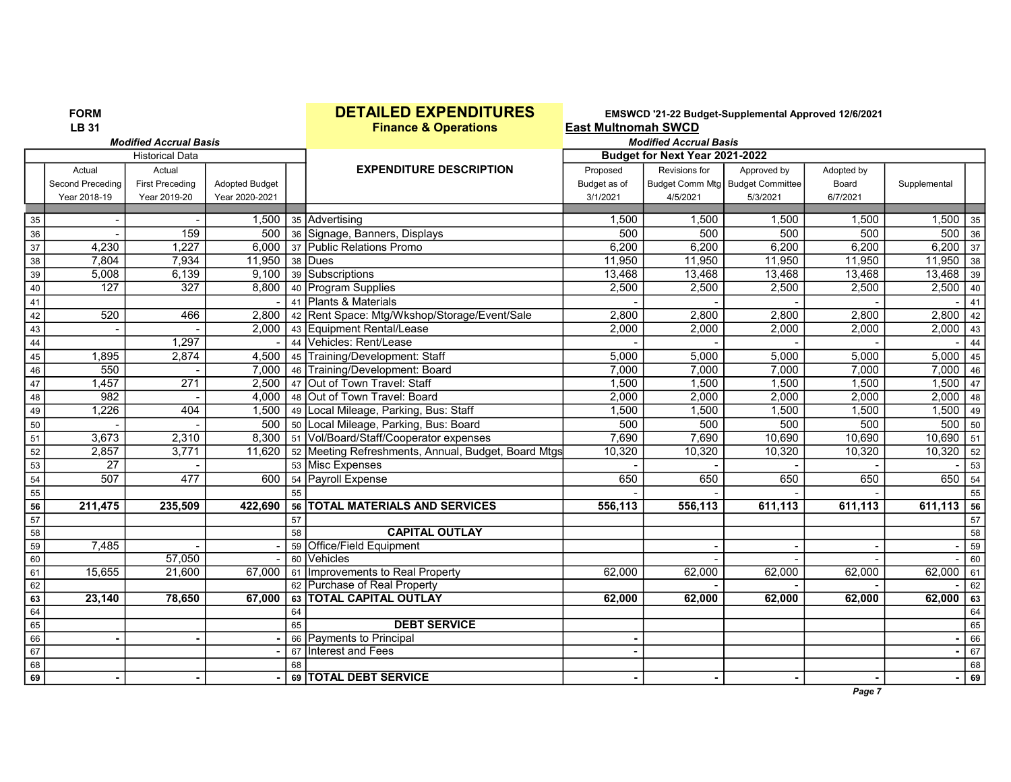|                 | <b>FORM</b>      |                               |                       |    | <b>DETAILED EXPENDITURES</b>                                     |                            |                                    | EMSWCD '21-22 Budget-Supplemental Approved 12/6/2021 |              |                   |    |
|-----------------|------------------|-------------------------------|-----------------------|----|------------------------------------------------------------------|----------------------------|------------------------------------|------------------------------------------------------|--------------|-------------------|----|
|                 | <b>LB 31</b>     |                               |                       |    | <b>Finance &amp; Operations</b>                                  | <b>East Multnomah SWCD</b> |                                    |                                                      |              |                   |    |
|                 |                  | <b>Modified Accrual Basis</b> |                       |    |                                                                  |                            | <b>Modified Accrual Basis</b>      |                                                      |              |                   |    |
|                 |                  | <b>Historical Data</b>        |                       |    |                                                                  |                            | Budget for Next Year 2021-2022     |                                                      |              |                   |    |
|                 | Actual           | Actual                        |                       |    | <b>EXPENDITURE DESCRIPTION</b>                                   | Proposed                   | Revisions for                      | Approved by                                          | Adopted by   |                   |    |
|                 | Second Preceding | <b>First Preceding</b>        | <b>Adopted Budget</b> |    |                                                                  | Budget as of               | Budget Comm Mtg   Budget Committee |                                                      | Board        | Supplemental      |    |
|                 | Year 2018-19     | Year 2019-20                  | Year 2020-2021        |    |                                                                  | 3/1/2021                   | 4/5/2021                           | 5/3/2021                                             | 6/7/2021     |                   |    |
|                 |                  |                               |                       |    |                                                                  |                            | 1,500                              |                                                      |              |                   |    |
| 35              |                  | 159                           | 1,500                 |    | 35 Advertising                                                   | 1,500<br>500               | 500                                | 1,500<br>500                                         | 1,500<br>500 | 1,500<br>$500$ 36 | 35 |
| 36              | 4,230            | 1,227                         | 500                   |    | 36 Signage, Banners, Displays<br>6,000 37 Public Relations Promo | 6,200                      | 6,200                              | 6,200                                                | 6,200        | $6,200$ 37        |    |
| $\overline{37}$ |                  |                               |                       |    |                                                                  |                            |                                    |                                                      |              |                   |    |
| 38              | 7,804            | 7,934                         | 11,950                |    | 38 Dues                                                          | 11,950                     | 11,950                             | 11,950                                               | 11,950       | $11,950$ 38       |    |
| 39              | 5,008            | 6,139                         | 9,100                 |    | 39 Subscriptions                                                 | 13,468                     | 13,468                             | 13,468                                               | 13,468       | 13,468            | 39 |
| 40              | 127              | 327                           | 8,800                 |    | 40 Program Supplies                                              | 2,500                      | 2,500                              | 2,500                                                | 2,500        | $2,500$ 40        |    |
| 41              |                  |                               |                       |    | 41 Plants & Materials                                            |                            |                                    |                                                      |              |                   | 41 |
| 42              | 520              | 466                           | 2,800                 |    | 42 Rent Space: Mtg/Wkshop/Storage/Event/Sale                     | 2,800                      | 2,800                              | 2,800                                                | 2,800        | 2,800             | 42 |
| 43              |                  |                               | 2.000                 |    | 43 Equipment Rental/Lease                                        | 2,000                      | 2,000                              | 2,000                                                | 2,000        | 2,000             | 43 |
| 44              |                  | 1,297                         |                       |    | 44 Vehicles: Rent/Lease                                          |                            |                                    |                                                      |              |                   | 44 |
| 45              | 1,895            | 2,874                         | 4,500                 |    | 45 Training/Development: Staff                                   | 5,000                      | 5,000                              | 5,000                                                | 5,000        | $5,000$ 45        |    |
| $\overline{46}$ | 550              |                               | 7,000                 |    | 46 Training/Development: Board                                   | 7,000                      | 7,000                              | 7,000                                                | 7,000        | $7,000$ 46        |    |
| 47              | 1,457            | 271                           | 2,500                 |    | 47 Out of Town Travel: Staff                                     | 1,500                      | 1,500                              | 1,500                                                | 1,500        | $1,500$ 47        |    |
| $48$            | $\frac{1}{982}$  |                               | 4,000                 |    | 48 Out of Town Travel: Board                                     | 2,000                      | 2,000                              | 2,000                                                | 2,000        | $2,000$ 48        |    |
| 49              | 1,226            | 404                           | 1,500                 |    | 49 Local Mileage, Parking, Bus: Staff                            | 1,500                      | 1,500                              | 1,500                                                | 1,500        | 1,500             | 49 |
| 50              |                  |                               | 500                   |    | 50 Local Mileage, Parking, Bus: Board                            | 500                        | 500                                | 500                                                  | 500          | $500$ 50          |    |
| 51              | 3,673            | 2,310                         |                       |    | 8,300   51   Vol/Board/Staff/Cooperator expenses                 | 7,690                      | 7,690                              | 10,690                                               | 10,690       | $10,690$ 51       |    |
| 52              | 2,857            | 3,771                         | 11,620                |    | 52 Meeting Refreshments, Annual, Budget, Board Mtgs              | 10,320                     | 10,320                             | 10,320                                               | 10,320       | 10,320            | 52 |
| 53              | $\overline{27}$  |                               |                       |    | 53 Misc Expenses                                                 |                            |                                    |                                                      |              |                   | 53 |
| 54              | $\overline{507}$ | 477                           | 600                   |    | 54 Payroll Expense                                               | 650                        | 650                                | 650                                                  | 650          | $650$ 54          |    |
| 55              |                  |                               |                       | 55 |                                                                  |                            |                                    |                                                      |              |                   | 55 |
| 56              | 211,475          | 235,509                       | 422,690               |    | 56 TOTAL MATERIALS AND SERVICES                                  | 556,113                    | 556,113                            | 611,113                                              | 611,113      | $611,113$ 56      |    |
| 57              |                  |                               |                       | 57 |                                                                  |                            |                                    |                                                      |              |                   | 57 |
| $58$            |                  |                               |                       | 58 | <b>CAPITAL OUTLAY</b>                                            |                            |                                    |                                                      |              |                   | 58 |
| 59              | 7,485            |                               |                       |    | 59 Office/Field Equipment                                        |                            |                                    |                                                      |              |                   | 59 |
| 60              |                  | 57,050                        |                       | 60 | <b>Vehicles</b>                                                  |                            |                                    |                                                      |              |                   | 60 |
| 61              | 15,655           | 21,600                        | 67,000                |    | 61 Improvements to Real Property                                 | 62.000                     | 62,000                             | 62,000                                               | 62,000       | $62,000$ 61       |    |
| 62              |                  |                               |                       |    | 62 Purchase of Real Property                                     |                            |                                    |                                                      |              |                   | 62 |
| 63              | 23,140           | 78,650                        | 67,000                |    | 63 TOTAL CAPITAL OUTLAY                                          | 62,000                     | 62,000                             | 62,000                                               | 62,000       | 62,000            | 63 |
| 64              |                  |                               |                       | 64 |                                                                  |                            |                                    |                                                      |              |                   | 64 |
| 65              |                  |                               |                       | 65 | <b>DEBT SERVICE</b>                                              |                            |                                    |                                                      |              |                   | 65 |
| 66              |                  |                               |                       |    | 66 Payments to Principal                                         |                            |                                    |                                                      |              |                   | 66 |
| 67              |                  |                               |                       |    | 67 Interest and Fees                                             |                            |                                    |                                                      |              |                   | 67 |
| 68              |                  |                               |                       | 68 |                                                                  |                            |                                    |                                                      |              |                   | 68 |
| 69              |                  |                               |                       |    | 69 TOTAL DEBT SERVICE                                            |                            |                                    |                                                      |              | $\blacksquare$    | 69 |
|                 |                  |                               |                       |    |                                                                  |                            |                                    |                                                      | Page 7       |                   |    |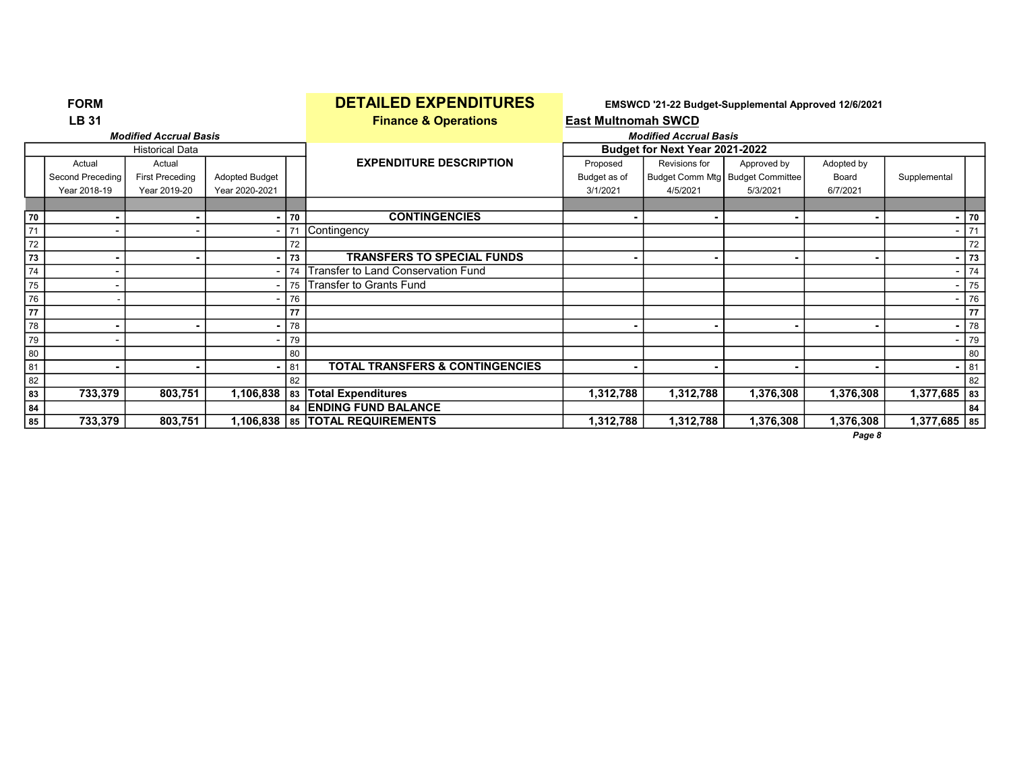|    | <b>FORM</b>                  |                               |                          |    | <b>DETAILED EXPENDITURES</b>               |                            |                                | EMSWCD '21-22 Budget-Supplemental Approved 12/6/2021 |                |                |      |
|----|------------------------------|-------------------------------|--------------------------|----|--------------------------------------------|----------------------------|--------------------------------|------------------------------------------------------|----------------|----------------|------|
|    | <b>LB 31</b>                 |                               |                          |    | <b>Finance &amp; Operations</b>            | <b>East Multnomah SWCD</b> |                                |                                                      |                |                |      |
|    |                              | <b>Modified Accrual Basis</b> |                          |    |                                            |                            | <b>Modified Accrual Basis</b>  |                                                      |                |                |      |
|    |                              | <b>Historical Data</b>        |                          |    |                                            |                            | Budget for Next Year 2021-2022 |                                                      |                |                |      |
|    | Actual                       | Actual                        |                          |    | <b>EXPENDITURE DESCRIPTION</b>             | Proposed                   | Revisions for                  | Approved by                                          | Adopted by     |                |      |
|    | Second Preceding             | <b>First Preceding</b>        | <b>Adopted Budget</b>    |    |                                            | Budget as of               |                                | Budget Comm Mtg   Budget Committee                   | Board          | Supplemental   |      |
|    | Year 2018-19                 | Year 2019-20                  | Year 2020-2021           |    |                                            | 3/1/2021                   | 4/5/2021                       | 5/3/2021                                             | 6/7/2021       |                |      |
|    |                              |                               |                          |    |                                            |                            |                                |                                                      |                |                |      |
| 70 |                              |                               |                          | 70 | <b>CONTINGENCIES</b>                       |                            |                                |                                                      |                |                | - 70 |
| 71 | $\qquad \qquad \blacksquare$ |                               | $\overline{\phantom{0}}$ | 71 | Contingency                                |                            |                                |                                                      |                |                | 71   |
| 72 |                              |                               |                          | 72 |                                            |                            |                                |                                                      |                |                | 72   |
| 73 | ۰                            |                               | ۰                        | 73 | <b>TRANSFERS TO SPECIAL FUNDS</b>          |                            | $\blacksquare$                 |                                                      | $\blacksquare$ |                | 73   |
| 74 |                              |                               |                          | 74 | Transfer to Land Conservation Fund         |                            |                                |                                                      |                |                | 74   |
| 75 | $\qquad \qquad \blacksquare$ |                               |                          | 75 | Transfer to Grants Fund                    |                            |                                |                                                      |                |                | 75   |
| 76 |                              |                               |                          | 76 |                                            |                            |                                |                                                      |                |                | 76   |
| 77 |                              |                               |                          | 77 |                                            |                            |                                |                                                      |                |                | 77   |
| 78 |                              |                               |                          | 78 |                                            |                            |                                |                                                      |                |                | 78   |
| 79 |                              |                               |                          | 79 |                                            |                            |                                |                                                      |                |                | 79   |
| 80 |                              |                               |                          | 80 |                                            |                            |                                |                                                      |                |                | 80   |
| 81 |                              |                               |                          | 81 | <b>TOTAL TRANSFERS &amp; CONTINGENCIES</b> |                            |                                |                                                      |                |                | 81   |
| 82 |                              |                               |                          | 82 |                                            |                            |                                |                                                      |                |                | 82   |
| 83 | 733,379                      | 803,751                       | 1,106,838                | 83 | <b>Total Expenditures</b>                  | 1,312,788                  | 1,312,788                      | 1,376,308                                            | 1,376,308      | $1,377,685$ 83 |      |
| 84 |                              |                               |                          |    | 84 ENDING FUND BALANCE                     |                            |                                |                                                      |                |                | 84   |
| 85 | 733,379                      | 803,751                       |                          |    | 1,106,838   85   TOTAL REQUIREMENTS        | 1,312,788                  | 1,312,788                      | 1,376,308                                            | 1,376,308      | $1,377,685$ 85 |      |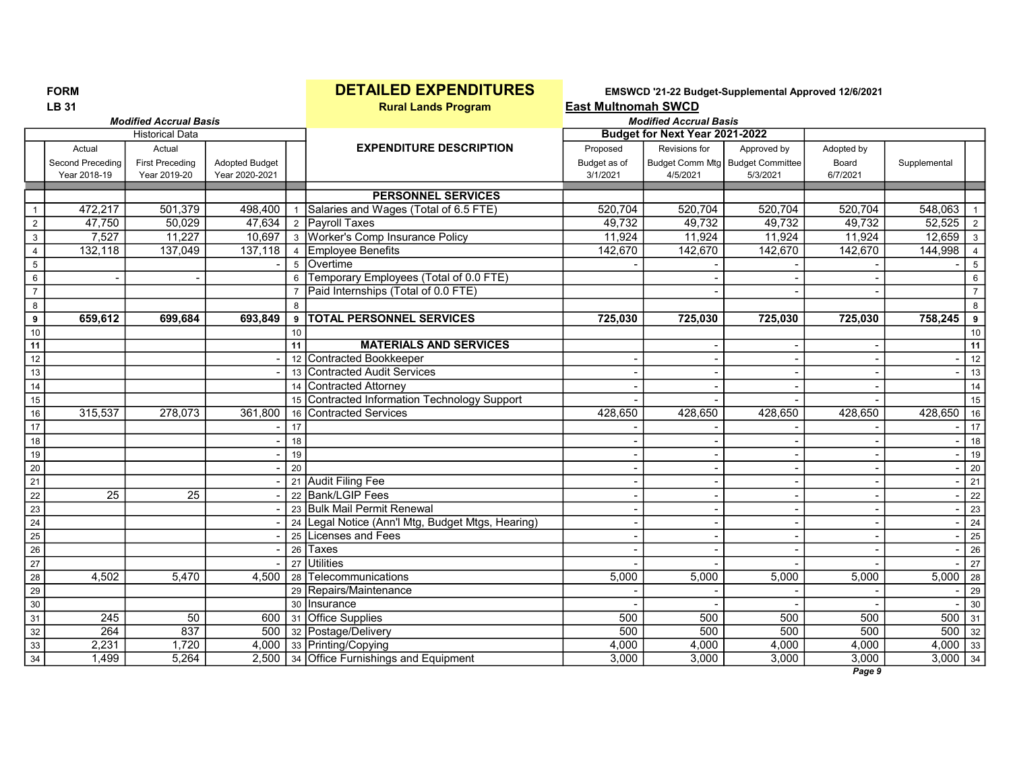|                  | <b>LB 31</b>            |                               |                       |    | <b>Rural Lands Program</b>                        | <b>East Multnomah SWCD</b> |                                |                                  |                    |              |                 |
|------------------|-------------------------|-------------------------------|-----------------------|----|---------------------------------------------------|----------------------------|--------------------------------|----------------------------------|--------------------|--------------|-----------------|
|                  |                         | <b>Modified Accrual Basis</b> |                       |    |                                                   |                            | <b>Modified Accrual Basis</b>  |                                  |                    |              |                 |
|                  |                         | <b>Historical Data</b>        |                       |    |                                                   |                            | Budget for Next Year 2021-2022 |                                  |                    |              |                 |
|                  | Actual                  | Actual                        |                       |    | <b>EXPENDITURE DESCRIPTION</b>                    | Proposed                   | Revisions for                  | Approved by                      | Adopted by         |              |                 |
|                  | <b>Second Preceding</b> | <b>First Preceding</b>        | <b>Adopted Budget</b> |    |                                                   | Budget as of               |                                | Budget Comm Mtg Budget Committee | Board              | Supplemental |                 |
|                  | Year 2018-19            | Year 2019-20                  | Year 2020-2021        |    |                                                   | 3/1/2021                   | 4/5/2021                       | 5/3/2021                         | 6/7/2021           |              |                 |
|                  |                         |                               |                       |    | <b>PERSONNEL SERVICES</b>                         |                            |                                |                                  |                    |              |                 |
| $\mathbf{1}$     | 472,217                 | 501,379                       | 498,400               |    | Salaries and Wages (Total of 6.5 FTE)             | 520,704                    | 520,704                        | 520,704                          | 520,704            | 548,063      |                 |
| $\overline{2}$   | 47,750                  | 50,029                        | 47,634                |    | 2 Payroll Taxes                                   | 49,732                     | 49,732                         | 49,732                           | 49,732             | 52,525       | $\overline{2}$  |
| $\sqrt{3}$       | 7,527                   | 11,227                        | 10,697                |    | 3 Worker's Comp Insurance Policy                  | 11,924                     | 11,924                         | 11,924                           | 11,924             | 12,659       | 3 <sup>1</sup>  |
| $\overline{4}$   | 132,118                 | 137,049                       | 137,118               |    | 4 Employee Benefits                               | 142,670                    | 142,670                        | 142,670                          | 142,670            | 144,998      | $\overline{4}$  |
| $\overline{5}$   |                         |                               |                       |    | 5 Overtime                                        |                            |                                |                                  |                    |              | $5\overline{)}$ |
| $\,6\,$          |                         |                               |                       | 6  | Temporary Employees (Total of 0.0 FTE)            |                            |                                |                                  |                    |              | $\,6\,$         |
| $\overline{7}$   |                         |                               |                       |    | Paid Internships (Total of 0.0 FTE)               |                            |                                |                                  |                    |              | $\overline{7}$  |
| 8                |                         |                               |                       |    |                                                   |                            |                                |                                  |                    |              | 8               |
| $\boldsymbol{9}$ | 659,612                 | 699,684                       | 693,849               | 9  | <b>TOTAL PERSONNEL SERVICES</b>                   | 725,030                    | 725,030                        | 725,030                          | 725,030            | 758,245      | $\overline{9}$  |
| 10               |                         |                               |                       | 10 |                                                   |                            |                                |                                  |                    |              | 10              |
| 11               |                         |                               |                       | 11 | <b>MATERIALS AND SERVICES</b>                     |                            |                                |                                  |                    |              | 11              |
| 12               |                         |                               |                       |    | 12 Contracted Bookkeeper                          |                            |                                |                                  |                    |              | 12              |
| 13               |                         |                               |                       |    | 13 Contracted Audit Services                      |                            |                                |                                  |                    |              | 13              |
| 14               |                         |                               |                       | 14 | <b>Contracted Attorney</b>                        |                            |                                |                                  |                    |              | 14              |
| 15               |                         |                               |                       |    | 15 Contracted Information Technology Support      |                            |                                |                                  |                    |              | 15              |
| 16               | 315,537                 | 278,073                       | 361,800               |    | 16 Contracted Services                            | 428,650                    | 428,650                        | 428,650                          | 428,650            | 428,650      | 16              |
| 17               |                         |                               |                       | 17 |                                                   |                            |                                |                                  |                    |              | $\overline{17}$ |
| 18               |                         |                               |                       | 18 |                                                   |                            |                                |                                  |                    |              | 18              |
| 19               |                         |                               |                       | 19 |                                                   |                            |                                |                                  |                    |              | 19              |
| 20               |                         |                               |                       | 20 |                                                   |                            |                                |                                  |                    |              | 20              |
| $\overline{21}$  |                         |                               |                       |    | 21 Audit Filing Fee                               |                            |                                |                                  |                    |              | 21              |
| 22               | $\overline{25}$         | $\overline{25}$               |                       |    | 22 Bank/LGIP Fees                                 |                            |                                |                                  |                    |              | 22              |
| 23               |                         |                               |                       |    | 23 Bulk Mail Permit Renewal                       |                            |                                |                                  |                    |              | $\overline{23}$ |
| 24               |                         |                               |                       |    | 24 Legal Notice (Ann'l Mtg, Budget Mtgs, Hearing) |                            |                                |                                  |                    |              | 24              |
| $\overline{25}$  |                         |                               |                       |    | 25 Licenses and Fees                              |                            |                                |                                  |                    |              | 25              |
| $\overline{26}$  |                         |                               |                       |    | 26 Taxes                                          |                            |                                |                                  |                    |              | 26              |
| $\overline{27}$  |                         |                               |                       |    | 27 Utilities                                      |                            |                                |                                  |                    |              | $\boxed{27}$    |
| 28               | 4,502                   | 5,470                         | 4.500                 |    | 28 Telecommunications                             | 5,000                      | 5,000                          | 5,000                            | 5,000              | 5,000        | 28              |
| 29               |                         |                               |                       |    | 29 Repairs/Maintenance                            |                            |                                |                                  |                    |              | 29              |
| 30               |                         |                               |                       |    | 30 Insurance                                      |                            |                                |                                  |                    |              | 30              |
| $\overline{31}$  | $\overline{245}$        | 50                            |                       |    | 600 31 Office Supplies                            | 500                        | 500                            | 500                              | 500                | $500$ 31     |                 |
| 32               | 264                     | 837                           | 500                   |    | 32 Postage/Delivery                               | 500                        | 500                            | 500                              | 500                | $500$ 32     |                 |
| 33               | 2,231                   | 1,720                         |                       |    | 4,000 33 Printing/Copying                         | 4,000                      | 4,000                          | 4,000                            | 4,000              | $4,000$ 33   |                 |
| $\overline{34}$  | 1,499                   | 5,264                         |                       |    | 2,500 34 Office Furnishings and Equipment         | 3,000                      | 3,000                          | 3,000                            | 3,000<br>$D - - -$ | $3,000$ 34   |                 |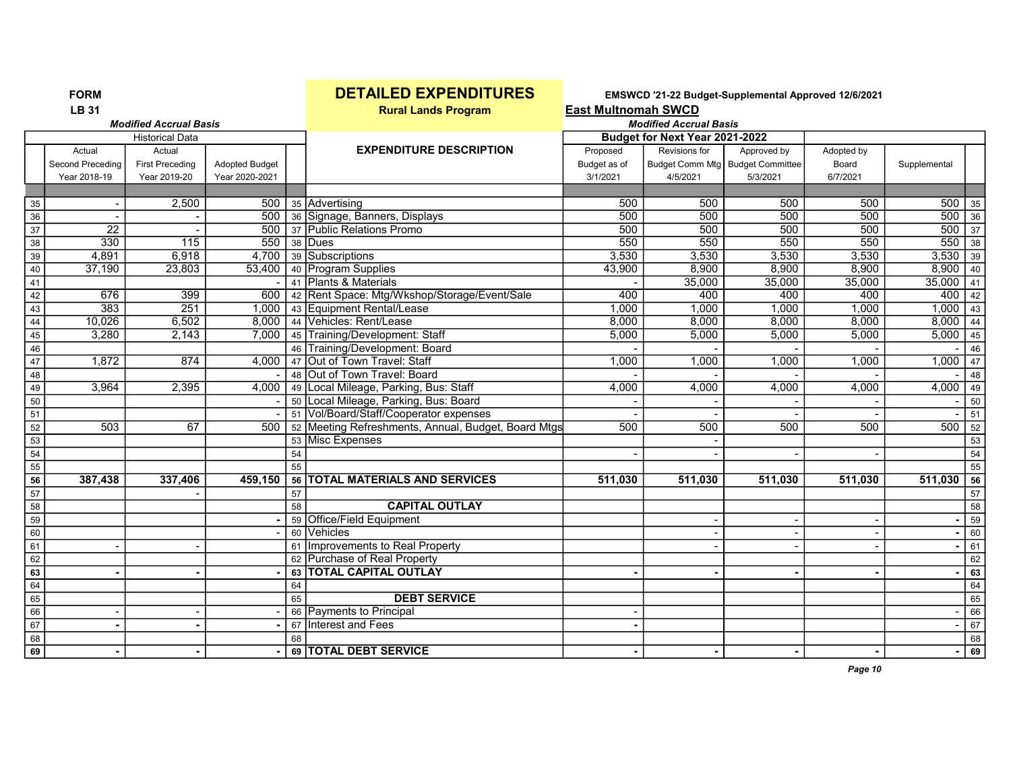# FORM **DETAILED EXPENDITURES** EMSWCD '21-22 Budget-Supplemental Approved 12/6/2021<br>LB 31 East Multnomah SWCD

**East Multnomah SWCD** 

|                 |                  | <b>Modified Accrual Basis</b> |                       | <b>Modified Accrual Basis</b> |                                                     |              |                                |                                    |            |                  |                 |
|-----------------|------------------|-------------------------------|-----------------------|-------------------------------|-----------------------------------------------------|--------------|--------------------------------|------------------------------------|------------|------------------|-----------------|
|                 |                  | <b>Historical Data</b>        |                       |                               |                                                     |              | Budget for Next Year 2021-2022 |                                    |            |                  |                 |
|                 | Actual           | Actual                        |                       |                               | <b>EXPENDITURE DESCRIPTION</b>                      | Proposed     | Revisions for                  | Approved by                        | Adopted by |                  |                 |
|                 | Second Preceding | <b>First Preceding</b>        | <b>Adopted Budget</b> |                               |                                                     | Budget as of |                                | Budget Comm Mtg   Budget Committee | Board      | Supplemental     |                 |
|                 | Year 2018-19     | Year 2019-20                  | Year 2020-2021        |                               |                                                     | 3/1/2021     | 4/5/2021                       | 5/3/2021                           | 6/7/2021   |                  |                 |
|                 |                  |                               |                       |                               |                                                     |              |                                |                                    |            |                  |                 |
| 35              |                  | 2,500                         | 500                   |                               | 35 Advertising                                      | 500          | 500                            | 500                                | 500        | 500              | 35              |
| 36              |                  |                               | 500                   |                               | 36 Signage, Banners, Displays                       | 500          | 500                            | 500                                | 500        | 500              | 36              |
| $\overline{37}$ | $\overline{22}$  |                               | 500                   |                               | 37 Public Relations Promo                           | 500          | 500                            | 500                                | 500        | $\overline{500}$ | $\sqrt{37}$     |
| 38              | 330              | 115                           | 550                   |                               | 38 Dues                                             | 550          | 550                            | 550                                | 550        | 550              | 38              |
| $\overline{39}$ | 4,891            | 6,918                         | 4,700                 |                               | 39 Subscriptions                                    | 3,530        | 3,530                          | 3,530                              | 3,530      | 3,530            | $\sqrt{39}$     |
| 40              | 37,190           | 23,803                        | 53,400                |                               | 40 Program Supplies                                 | 43,900       | 8,900                          | 8,900                              | 8,900      | 8,900            | 40              |
| 41              |                  |                               |                       |                               | 41 Plants & Materials                               |              | 35,000                         | 35,000                             | 35,000     | 35,000           | 41              |
| 42              | 676              | 399                           | 600                   |                               | 42 Rent Space: Mtg/Wkshop/Storage/Event/Sale        | 400          | 400                            | 400                                | 400        | 400              | 42              |
| 43              | 383              | 251                           | 1.000                 |                               | 43 Equipment Rental/Lease                           | 1,000        | 1,000                          | 1.000                              | 1,000      | 1,000            | $\overline{43}$ |
| 44              | 10,026           | 6,502                         | 8,000                 |                               | 44 Vehicles: Rent/Lease                             | 8,000        | 8,000                          | 8,000                              | 8,000      | 8,000            | 44              |
| 45              | 3,280            | 2,143                         | 7,000                 |                               | 45 Training/Development: Staff                      | 5,000        | 5,000                          | 5,000                              | 5,000      | 5,000            | 45              |
| 46              |                  |                               |                       |                               | 46 Training/Development: Board                      |              |                                |                                    |            |                  | 46              |
| $\overline{47}$ | 1,872            | 874                           | 4,000                 |                               | 47 Out of Town Travel: Staff                        | 1,000        | 1,000                          | 1,000                              | 1,000      | 1,000            | 47              |
| 48              |                  |                               |                       |                               | 48 Out of Town Travel: Board                        |              |                                |                                    |            |                  | 48              |
| 49              | 3,964            | 2,395                         | 4,000                 |                               | 49 Local Mileage, Parking, Bus: Staff               | 4,000        | 4,000                          | 4,000                              | 4,000      | 4,000            | 49              |
| 50              |                  |                               |                       |                               | 50 Local Mileage, Parking, Bus: Board               |              |                                |                                    |            |                  | 50              |
| 51              |                  |                               |                       |                               | 51 Vol/Board/Staff/Cooperator expenses              |              |                                |                                    |            |                  | 51              |
| $\overline{52}$ | 503              | 67                            | 500                   |                               | 52 Meeting Refreshments, Annual, Budget, Board Mtgs | 500          | 500                            | 500                                | 500        | 500              | 52              |
| $\overline{53}$ |                  |                               |                       |                               | 53 Misc Expenses                                    |              |                                |                                    |            |                  | 53              |
| $\overline{54}$ |                  |                               |                       | 54                            |                                                     |              |                                |                                    |            |                  | 54              |
| 55              |                  |                               |                       | 55                            |                                                     |              |                                |                                    |            |                  | 55              |
| 56              | 387,438          | 337,406                       | 459,150               |                               | 56   TOTAL MATERIALS AND SERVICES                   | 511.030      | 511.030                        | 511,030                            | 511,030    | 511,030          | $\overline{56}$ |
| 57              |                  |                               |                       | 57                            |                                                     |              |                                |                                    |            |                  | 57              |
| 58              |                  |                               |                       | 58                            | <b>CAPITAL OUTLAY</b>                               |              |                                |                                    |            |                  | 58              |
| 59              |                  |                               |                       |                               | 59 Office/Field Equipment                           |              |                                |                                    |            |                  | 59              |
| 60              |                  |                               |                       |                               | 60 Vehicles                                         |              |                                |                                    |            |                  | 60              |
| 61              |                  |                               |                       | 61                            | Improvements to Real Property                       |              |                                |                                    |            |                  | 61              |
| 62              |                  |                               |                       |                               | 62 Purchase of Real Property                        |              |                                |                                    |            |                  | 62              |
| 63              |                  |                               |                       |                               | 63 TOTAL CAPITAL OUTLAY                             |              |                                |                                    |            |                  | 63              |
| 64              |                  |                               |                       | 64                            |                                                     |              |                                |                                    |            |                  | $\overline{64}$ |
| 65              |                  |                               |                       | 65                            | <b>DEBT SERVICE</b>                                 |              |                                |                                    |            |                  | 65              |
| $\overline{66}$ |                  |                               |                       |                               | 66 Payments to Principal                            |              |                                |                                    |            |                  | 66              |
| 67              |                  |                               |                       | 67                            | Interest and Fees                                   |              |                                |                                    |            |                  | 67              |
| 68              |                  |                               |                       | 68                            |                                                     |              |                                |                                    |            |                  | 68              |
| 69              |                  |                               |                       |                               | 69 TOTAL DEBT SERVICE                               |              |                                |                                    |            |                  | 69              |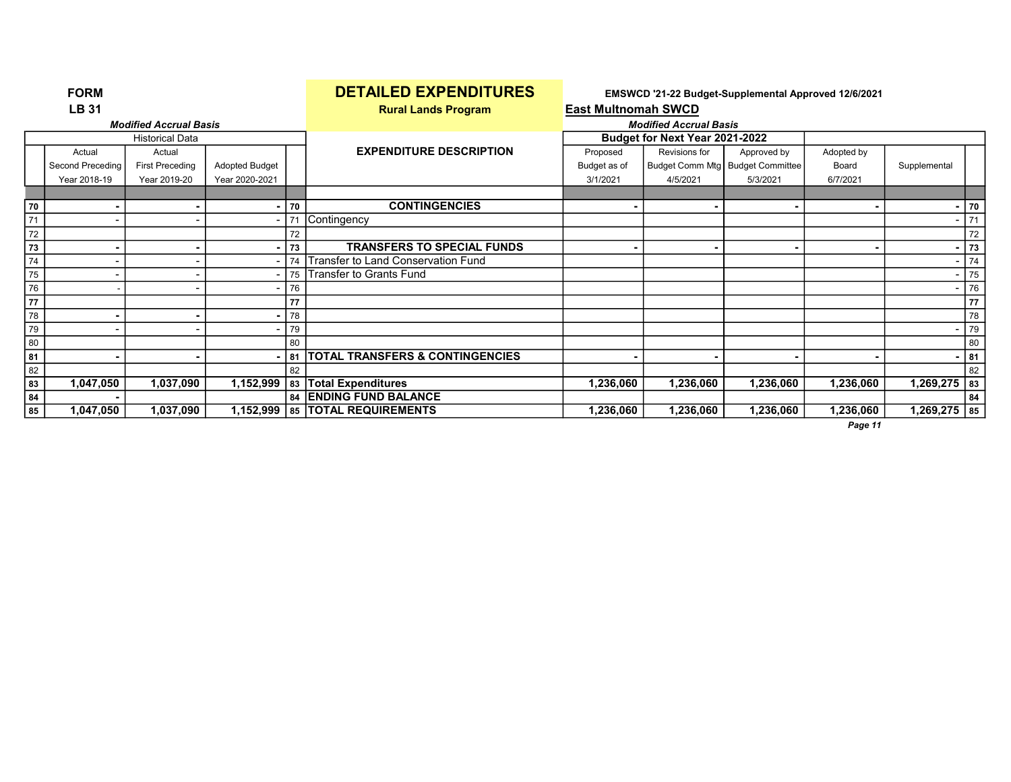|    | <b>FORM</b>      |                               |                       |    | <b>DETAILED EXPENDITURES</b>               |                            |                                | EMSWCD '21-22 Budget-Supplemental Approved 12/6/2021 |                |                |    |
|----|------------------|-------------------------------|-----------------------|----|--------------------------------------------|----------------------------|--------------------------------|------------------------------------------------------|----------------|----------------|----|
|    | <b>LB 31</b>     |                               |                       |    | <b>Rural Lands Program</b>                 | <b>East Multnomah SWCD</b> |                                |                                                      |                |                |    |
|    |                  | <b>Modified Accrual Basis</b> |                       |    |                                            |                            | <b>Modified Accrual Basis</b>  |                                                      |                |                |    |
|    |                  | <b>Historical Data</b>        |                       |    |                                            |                            | Budget for Next Year 2021-2022 |                                                      |                |                |    |
|    | Actual           | Actual                        |                       |    | <b>EXPENDITURE DESCRIPTION</b>             | Proposed                   | Revisions for                  | Approved by                                          | Adopted by     |                |    |
|    | Second Preceding | <b>First Preceding</b>        | <b>Adopted Budget</b> |    |                                            | Budget as of               |                                | Budget Comm Mtg   Budget Committee                   | Board          | Supplemental   |    |
|    | Year 2018-19     | Year 2019-20                  | Year 2020-2021        |    |                                            | 3/1/2021                   | 4/5/2021                       | 5/3/2021                                             | 6/7/2021       |                |    |
|    |                  |                               |                       |    |                                            |                            |                                |                                                      |                |                |    |
| 70 |                  |                               |                       | 70 | <b>CONTINGENCIES</b>                       |                            | $\blacksquare$                 |                                                      | $\blacksquare$ |                | 70 |
| 71 |                  |                               | -                     | 71 | Contingency                                |                            |                                |                                                      |                |                | 71 |
| 72 |                  |                               |                       | 72 |                                            |                            |                                |                                                      |                |                | 72 |
| 73 |                  |                               |                       | 73 | <b>TRANSFERS TO SPECIAL FUNDS</b>          |                            |                                |                                                      | ۰              |                | 73 |
| 74 |                  |                               |                       | 74 | Transfer to Land Conservation Fund         |                            |                                |                                                      |                |                | 74 |
| 75 |                  |                               |                       | 75 | <b>Transfer to Grants Fund</b>             |                            |                                |                                                      |                |                | 75 |
| 76 |                  |                               |                       | 76 |                                            |                            |                                |                                                      |                |                | 76 |
| 77 |                  |                               |                       | 77 |                                            |                            |                                |                                                      |                |                | 77 |
| 78 |                  |                               |                       | 78 |                                            |                            |                                |                                                      |                |                | 78 |
| 79 |                  |                               |                       | 79 |                                            |                            |                                |                                                      |                |                | 79 |
| 80 |                  |                               |                       | 80 |                                            |                            |                                |                                                      |                |                | 80 |
| 81 |                  |                               |                       | 81 | <b>TOTAL TRANSFERS &amp; CONTINGENCIES</b> |                            |                                |                                                      |                |                | 81 |
| 82 |                  |                               |                       | 82 |                                            |                            |                                |                                                      |                |                | 82 |
| 83 | 1,047,050        | 1,037,090                     | 1,152,999             |    | 83 Total Expenditures                      | 1,236,060                  | 1,236,060                      | 1,236,060                                            | 1,236,060      | $1,269,275$ 83 |    |
| 84 |                  |                               |                       |    | 84 ENDING FUND BALANCE                     |                            |                                |                                                      |                |                | 84 |
| 85 | 1,047,050        | 1,037,090                     | 1,152,999             |    | 85   TOTAL REQUIREMENTS                    | 1,236,060                  | 1,236,060                      | 1,236,060                                            | 1,236,060      | $1,269,275$ 85 |    |
|    |                  |                               |                       |    |                                            |                            |                                |                                                      | Page 11        |                |    |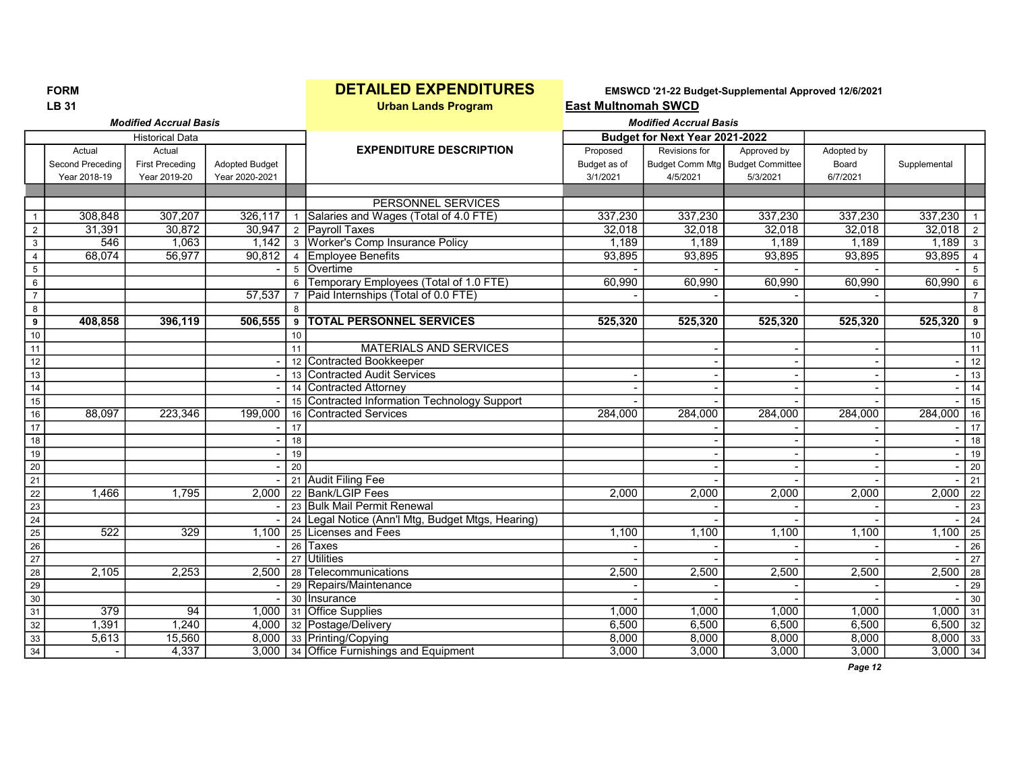FORM **EXPENDITURES** EMSWCD '21-22 Budget-Supplemental Approved 12/6/2021<br>LB 31 Last Multnomah SWCD **East Multnomah SWCD** 

|                 |                  | <b>Modified Accrual Basis</b> |                       |                |                                                   |              | <b>Modified Accrual Basis</b>  |                                    |            |              |                 |
|-----------------|------------------|-------------------------------|-----------------------|----------------|---------------------------------------------------|--------------|--------------------------------|------------------------------------|------------|--------------|-----------------|
|                 |                  | <b>Historical Data</b>        |                       |                |                                                   |              | Budget for Next Year 2021-2022 |                                    |            |              |                 |
|                 | Actual           | Actual                        |                       |                | <b>EXPENDITURE DESCRIPTION</b>                    | Proposed     | Revisions for                  | Approved by                        | Adopted by |              |                 |
|                 | Second Preceding | <b>First Preceding</b>        | <b>Adopted Budget</b> |                |                                                   | Budget as of |                                | Budget Comm Mtg   Budget Committee | Board      | Supplemental |                 |
|                 | Year 2018-19     | Year 2019-20                  | Year 2020-2021        |                |                                                   | 3/1/2021     | 4/5/2021                       | 5/3/2021                           | 6/7/2021   |              |                 |
|                 |                  |                               |                       |                |                                                   |              |                                |                                    |            |              |                 |
|                 |                  |                               |                       |                | <b>PERSONNEL SERVICES</b>                         |              |                                |                                    |            |              |                 |
| $\mathbf{1}$    | 308,848          | 307,207                       | 326,117               |                | 1 Salaries and Wages (Total of 4.0 FTE)           | 337,230      | 337,230                        | 337,230                            | 337,230    | 337,230      |                 |
| $\overline{2}$  | 31,391           | 30,872                        |                       |                | 30,947 2 Payroll Taxes                            | 32,018       | 32,018                         | 32,018                             | 32,018     | $32,018$ 2   |                 |
| $\mathbf{3}$    | 546              | 1,063                         |                       |                | 1,142 3 Worker's Comp Insurance Policy            | 1.189        | 1.189                          | 1,189                              | 1.189      | $1,189$ 3    |                 |
| $\overline{4}$  | 68,074           | 56,977                        | 90,812                |                | 4 Employee Benefits                               | 93,895       | 93,895                         | 93,895                             | 93,895     | 93,895       | $\overline{4}$  |
| $5\overline{)}$ |                  |                               |                       |                | 5 Overtime                                        |              |                                |                                    |            |              | 5               |
| 6               |                  |                               |                       | 6              | Temporary Employees (Total of 1.0 FTE)            | 60,990       | 60,990                         | 60,990                             | 60,990     | 60,990       | $6\phantom{1}$  |
| $\overline{7}$  |                  |                               | 57,537                | $\overline{7}$ | Paid Internships (Total of 0.0 FTE)               |              |                                |                                    |            |              | $\overline{7}$  |
| 8               |                  |                               |                       | $\mathsf{R}$   |                                                   |              |                                |                                    |            |              | 8               |
| 9               | 408,858          | 396,119                       | 506,555               | 9              | <b>TOTAL PERSONNEL SERVICES</b>                   | 525,320      | 525,320                        | 525,320                            | 525,320    | 525,320      | 9               |
| 10              |                  |                               |                       | 10             |                                                   |              |                                |                                    |            |              | 10              |
| 11              |                  |                               |                       | 11             | <b>MATERIALS AND SERVICES</b>                     |              |                                |                                    |            |              | 11              |
| 12              |                  |                               |                       |                | 12 Contracted Bookkeeper                          |              |                                |                                    |            |              | 12              |
| 13              |                  |                               |                       |                | 13 Contracted Audit Services                      |              |                                |                                    |            |              | 13              |
| $\overline{14}$ |                  |                               |                       |                | 14 Contracted Attorney                            |              |                                |                                    |            |              | 14              |
| 15              |                  |                               |                       |                | 15 Contracted Information Technology Support      |              |                                |                                    |            |              | 15              |
| 16              | 88,097           | 223,346                       | 199,000               |                | 16 Contracted Services                            | 284,000      | 284,000                        | 284,000                            | 284,000    | 284,000      | 16              |
| 17              |                  |                               |                       | 17             |                                                   |              |                                |                                    |            |              | 17              |
| 18              |                  |                               |                       | 18             |                                                   |              |                                |                                    |            |              | 18              |
| $\overline{19}$ |                  |                               |                       | 19             |                                                   |              |                                |                                    |            |              | 19              |
| $\overline{20}$ |                  |                               |                       | 20             |                                                   |              |                                |                                    |            |              | 20              |
| $\overline{21}$ |                  |                               |                       |                | 21 Audit Filing Fee                               |              |                                |                                    |            |              | 21              |
| $\overline{22}$ | 1.466            | 1,795                         | 2,000                 |                | 22 Bank/LGIP Fees                                 | 2,000        | 2,000                          | 2,000                              | 2,000      | $2,000$ 22   |                 |
| $\overline{23}$ |                  |                               |                       |                | 23 Bulk Mail Permit Renewal                       |              |                                |                                    |            |              | $\overline{23}$ |
| 24              |                  |                               |                       |                | 24 Legal Notice (Ann'l Mtg, Budget Mtgs, Hearing) |              |                                |                                    |            |              | 24              |
| $\overline{25}$ | 522              | 329                           | 1,100                 |                | 25 Licenses and Fees                              | 1,100        | 1,100                          | 1,100                              | 1,100      | 1,100        | 25              |
| $\overline{26}$ |                  |                               |                       |                | 26 Taxes                                          |              |                                |                                    |            |              | 26              |
| $\overline{27}$ |                  |                               |                       |                | 27 Utilities                                      |              |                                |                                    |            |              | $\overline{27}$ |
| 28              | 2,105            | 2,253                         | 2,500                 |                | 28 Telecommunications                             | 2,500        | 2,500                          | 2,500                              | 2,500      | $2,500$ 28   |                 |
| $\overline{29}$ |                  |                               |                       |                | 29 Repairs/Maintenance                            |              |                                |                                    |            |              | 29              |
| 30              |                  |                               |                       |                | 30 Insurance                                      |              |                                |                                    |            |              | 30              |
| $\overline{31}$ | $\overline{379}$ | $\overline{94}$               | 1,000                 |                | 31 Office Supplies                                | 1,000        | 1,000                          | 1,000                              | 1,000      | 1,000        | 31              |
| 32              | 1,391            | 1,240                         |                       |                | 4,000 32 Postage/Delivery                         | 6,500        | 6,500                          | 6,500                              | 6,500      | $6,500$ 32   |                 |
| $\overline{33}$ | 5,613            | 15,560                        |                       |                | 8,000 33 Printing/Copying                         | 8,000        | 8,000                          | 8,000                              | 8,000      | $8,000$ 33   |                 |
| 34              | $\blacksquare$   | 4,337                         |                       |                | 3,000 34 Office Furnishings and Equipment         | 3,000        | 3,000                          | 3,000                              | 3,000      | $3,000$ 34   |                 |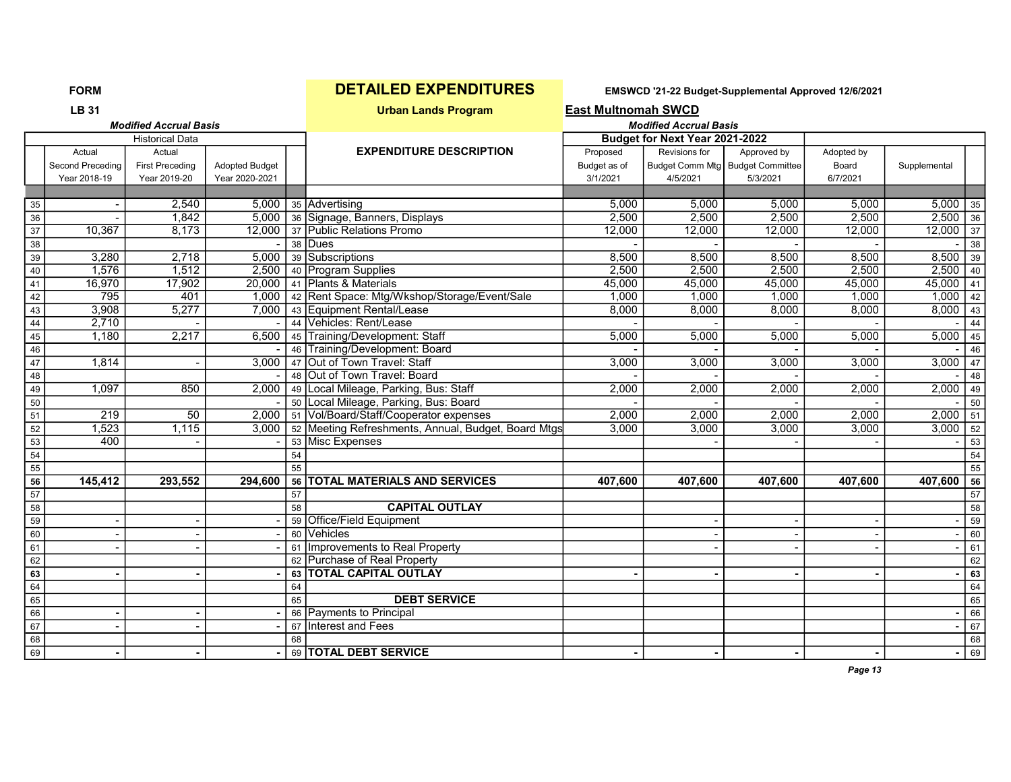| <b>LB 31</b> |                     | <b>East Multnomah SWCD</b> |
|--------------|---------------------|----------------------------|
|              | Urban Lands Program |                            |

|                 |                            | <b>Modified Accrual Basis</b>    |                       |    |                                                               |                          | <b>Modified Accrual Basis</b>  |                                                 |                     |              |                 |
|-----------------|----------------------------|----------------------------------|-----------------------|----|---------------------------------------------------------------|--------------------------|--------------------------------|-------------------------------------------------|---------------------|--------------|-----------------|
|                 |                            | <b>Historical Data</b>           |                       |    |                                                               |                          | Budget for Next Year 2021-2022 |                                                 |                     |              |                 |
|                 | Actual<br>Second Preceding | Actual<br><b>First Preceding</b> | <b>Adopted Budget</b> |    | <b>EXPENDITURE DESCRIPTION</b>                                | Proposed<br>Budget as of | Revisions for                  | Approved by<br>Budget Comm Mtg Budget Committee | Adopted by<br>Board | Supplemental |                 |
|                 | Year 2018-19               | Year 2019-20                     | Year 2020-2021        |    |                                                               | 3/1/2021                 | 4/5/2021                       | 5/3/2021                                        | 6/7/2021            |              |                 |
|                 |                            |                                  |                       |    |                                                               |                          |                                |                                                 |                     |              |                 |
| 35              |                            | 2,540                            |                       |    | 5,000 35 Advertising                                          | 5,000                    | 5,000                          | 5,000                                           | 5,000               | $5,000$ 35   |                 |
| $\overline{36}$ |                            | 1,842                            |                       |    | 5,000 36 Signage, Banners, Displays                           | 2,500                    | 2,500                          | 2,500                                           | 2,500               | $2,500$ 36   |                 |
| $\overline{37}$ | 10,367                     | 8,173                            |                       |    | 12,000 37 Public Relations Promo                              | 12,000                   | 12,000                         | 12,000                                          | 12,000              | $12,000$ 37  |                 |
| 38              |                            |                                  |                       |    | 38 Dues                                                       |                          |                                |                                                 |                     |              | 38              |
| 39              | 3,280                      | 2,718                            |                       |    | 5,000 39 Subscriptions                                        | 8,500                    | 8,500                          | 8,500                                           | 8,500               | $8,500$ 39   |                 |
| $40\,$          | 1,576                      | 1,512                            |                       |    | 2,500 40 Program Supplies                                     | 2,500                    | 2,500                          | 2,500                                           | 2,500               | $2,500$ 40   |                 |
| 41              | 16,970                     | 17,902                           |                       |    | 20,000 41 Plants & Materials                                  | 45,000                   | 45,000                         | 45,000                                          | 45,000              | $45,000$ 41  |                 |
| 42              | 795                        | 401                              |                       |    | 1,000   42   Rent Space: Mtg/Wkshop/Storage/Event/Sale        | 1.000                    | 1,000                          | 1,000                                           | 1,000               | $1,000$ 42   |                 |
| 43              | 3,908                      | 5,277                            |                       |    | 7,000 43 Equipment Rental/Lease                               | 8,000                    | 8,000                          | 8,000                                           | 8,000               | $8,000$ 43   |                 |
| 44              | 2,710                      |                                  |                       |    | 44 Vehicles: Rent/Lease                                       |                          |                                |                                                 |                     |              | 44              |
| 45              | 1,180                      | 2,217                            |                       |    | 6,500   45   Training/Development: Staff                      | 5,000                    | 5,000                          | 5,000                                           | 5,000               | $5,000$ 45   |                 |
| ${\bf 46}$      |                            |                                  |                       |    | 46 Training/Development: Board                                |                          |                                |                                                 |                     |              | 46              |
| $\overline{47}$ | 1,814                      |                                  |                       |    | 3,000 47 Out of Town Travel: Staff                            | 3,000                    | 3,000                          | 3,000                                           | 3,000               | $3,000$ 47   |                 |
| 48              |                            |                                  |                       |    | 48 Out of Town Travel: Board                                  |                          |                                |                                                 |                     |              | 48              |
| 49              | 1,097                      | 850                              |                       |    | 2,000   49   Local Mileage, Parking, Bus: Staff               | 2,000                    | 2,000                          | 2,000                                           | 2,000               | $2,000$ 49   |                 |
| 50              |                            |                                  |                       |    | 50 Local Mileage, Parking, Bus: Board                         |                          |                                |                                                 |                     |              | 50              |
| 51              | 219                        | $\overline{50}$                  |                       |    | 2,000   51   Vol/Board/Staff/Cooperator expenses              | 2,000                    | 2,000                          | 2,000                                           | 2,000               | $2,000$ 51   |                 |
| 52              | 1,523                      | 1,115                            |                       |    | 3,000   52   Meeting Refreshments, Annual, Budget, Board Mtgs | 3,000                    | 3,000                          | 3,000                                           | 3,000               | $3,000$ 52   |                 |
| $\overline{53}$ | 400                        |                                  |                       |    | 53 Misc Expenses                                              |                          |                                |                                                 |                     |              | $\overline{53}$ |
| 54              |                            |                                  |                       | 54 |                                                               |                          |                                |                                                 |                     |              | 54              |
| 55              |                            |                                  |                       | 55 |                                                               |                          |                                |                                                 |                     |              | 55              |
| 56              | 145,412                    | 293,552                          | 294.600               |    | 56 TOTAL MATERIALS AND SERVICES                               | 407,600                  | 407,600                        | 407,600                                         | 407,600             | 407,600      | 56              |
| 57              |                            |                                  |                       | 57 |                                                               |                          |                                |                                                 |                     |              | 57              |
| 58              |                            |                                  |                       | 58 | <b>CAPITAL OUTLAY</b>                                         |                          |                                |                                                 |                     |              | 58              |
| $\overline{59}$ |                            |                                  |                       |    | 59 Office/Field Equipment                                     |                          |                                |                                                 |                     |              | $\overline{59}$ |
| 60              |                            |                                  |                       |    | 60 Vehicles                                                   |                          |                                |                                                 |                     |              | 60              |
| 61              |                            |                                  |                       |    | 61 Improvements to Real Property                              |                          |                                |                                                 |                     |              | 61              |
| 62              |                            |                                  |                       |    | 62 Purchase of Real Property                                  |                          |                                |                                                 |                     |              | 62              |
| 63              |                            |                                  |                       |    | 63 TOTAL CAPITAL OUTLAY                                       |                          |                                |                                                 |                     |              | 63              |
| 64              |                            |                                  |                       | 64 |                                                               |                          |                                |                                                 |                     |              | 64              |
| 65              |                            |                                  |                       | 65 | <b>DEBT SERVICE</b>                                           |                          |                                |                                                 |                     |              | 65              |
| 66              |                            |                                  |                       |    | 66 Payments to Principal                                      |                          |                                |                                                 |                     |              | 66              |
| 67              |                            |                                  |                       |    | 67 Interest and Fees                                          |                          |                                |                                                 |                     |              | 67              |
| 68              |                            |                                  |                       | 68 |                                                               |                          |                                |                                                 |                     |              | 68              |
| 69              |                            |                                  |                       |    | 69 TOTAL DEBT SERVICE                                         |                          |                                |                                                 |                     |              | 69              |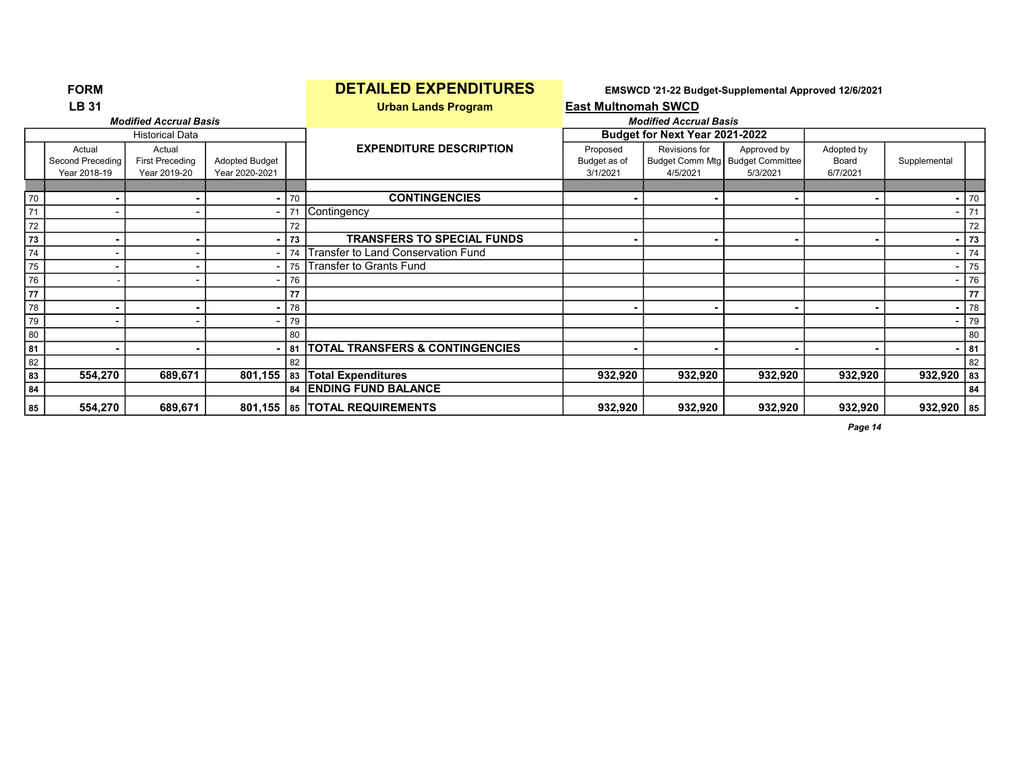|    | <b>FORM</b>                                |                                                  |                                         |    | <u>DE I AILED EXPENDITURES</u>             |                                      |                                | EMSWCD '21-22 Budget-Supplemental Approved 12/6/2021          |                                 |              |        |
|----|--------------------------------------------|--------------------------------------------------|-----------------------------------------|----|--------------------------------------------|--------------------------------------|--------------------------------|---------------------------------------------------------------|---------------------------------|--------------|--------|
|    | <b>LB 31</b>                               |                                                  |                                         |    | <b>Urban Lands Program</b>                 | <b>East Multnomah SWCD</b>           |                                |                                                               |                                 |              |        |
|    |                                            | <b>Modified Accrual Basis</b>                    |                                         |    |                                            |                                      | <b>Modified Accrual Basis</b>  |                                                               |                                 |              |        |
|    |                                            | <b>Historical Data</b>                           |                                         |    |                                            |                                      | Budget for Next Year 2021-2022 |                                                               |                                 |              |        |
|    | Actual<br>Second Preceding<br>Year 2018-19 | Actual<br><b>First Preceding</b><br>Year 2019-20 | <b>Adopted Budget</b><br>Year 2020-2021 |    | <b>EXPENDITURE DESCRIPTION</b>             | Proposed<br>Budget as of<br>3/1/2021 | Revisions for<br>4/5/2021      | Approved by<br>Budget Comm Mtg   Budget Committee<br>5/3/2021 | Adopted by<br>Board<br>6/7/2021 | Supplemental |        |
|    |                                            |                                                  |                                         |    |                                            |                                      |                                |                                                               |                                 |              |        |
| 70 |                                            |                                                  |                                         | 70 | <b>CONTINGENCIES</b>                       |                                      |                                |                                                               |                                 |              | $-170$ |
| 71 |                                            |                                                  |                                         |    | Contingency                                |                                      |                                |                                                               |                                 |              | 71     |
| 72 |                                            |                                                  |                                         | 72 |                                            |                                      |                                |                                                               |                                 |              | 72     |
| 73 |                                            |                                                  |                                         | 73 | <b>TRANSFERS TO SPECIAL FUNDS</b>          |                                      |                                |                                                               | $\blacksquare$                  |              | 73     |
| 74 |                                            |                                                  |                                         | 74 | Transfer to Land Conservation Fund         |                                      |                                |                                                               |                                 |              | 74     |
| 75 |                                            |                                                  |                                         | 75 | Transfer to Grants Fund                    |                                      |                                |                                                               |                                 |              | 75     |
| 76 |                                            |                                                  |                                         | 76 |                                            |                                      |                                |                                                               |                                 |              | 76     |
| 77 |                                            |                                                  |                                         | 77 |                                            |                                      |                                |                                                               |                                 |              | 77     |
| 78 | $\blacksquare$                             |                                                  | $\blacksquare$                          | 78 |                                            |                                      | $\blacksquare$                 |                                                               | $\blacksquare$                  |              | 78     |
| 79 |                                            |                                                  |                                         | 79 |                                            |                                      |                                |                                                               |                                 |              | 79     |
| 80 |                                            |                                                  |                                         | 80 |                                            |                                      |                                |                                                               |                                 |              | 80     |
| 81 |                                            |                                                  |                                         | 81 | <b>TOTAL TRANSFERS &amp; CONTINGENCIES</b> |                                      |                                |                                                               |                                 |              | 81     |
| 82 |                                            |                                                  |                                         | 82 |                                            |                                      |                                |                                                               |                                 |              | 82     |
| 83 | 554,270                                    | 689,671                                          | 801,155                                 |    | 83 Total Expenditures                      | 932,920                              | 932,920                        | 932,920                                                       | 932,920                         | $932,920$ 83 |        |
| 84 |                                            |                                                  |                                         |    | 84 ENDING FUND BALANCE                     |                                      |                                |                                                               |                                 |              | 84     |
| 85 | 554,270                                    | 689,671                                          |                                         |    | 801,155   85   TOTAL REQUIREMENTS          | 932,920                              | 932,920                        | 932,920                                                       | 932,920                         | $932,920$ 85 |        |

## FORM DETAILED EXPENDITURES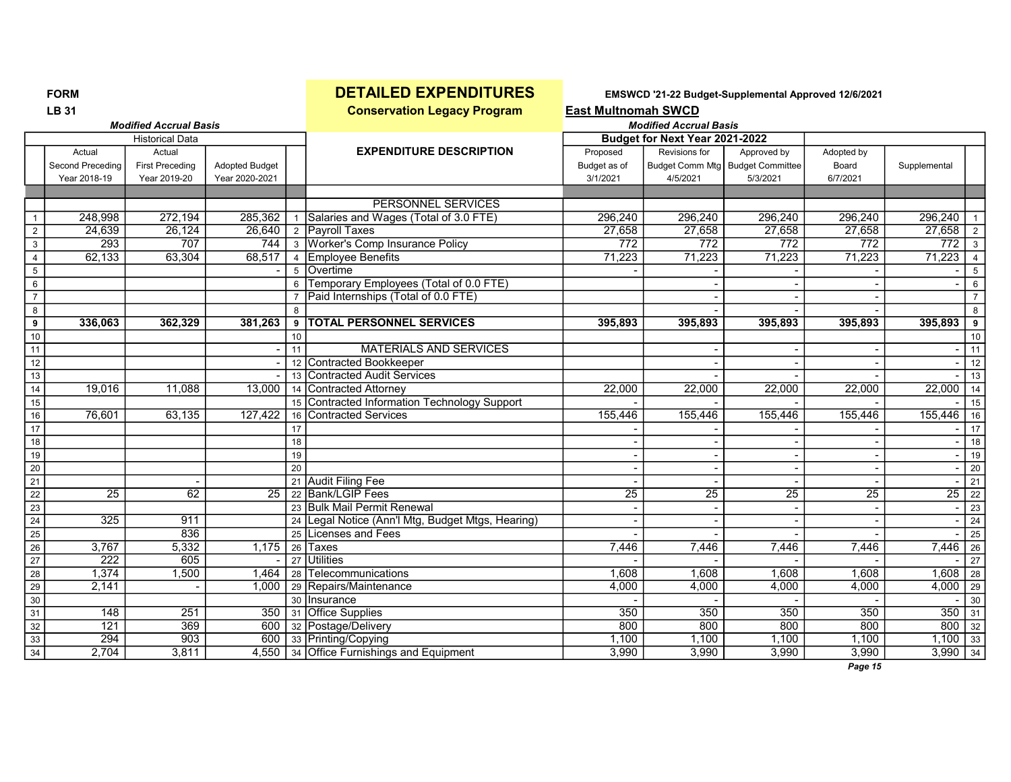**LB 31** Conservation Legacy Program **East Multnomah SWCD** 

Modified Accrual Basis Modified Accrual Basis

|                         |                  | <b>Historical Data</b> |                       |              |                                                   |                  | Budget for Next Year 2021-2022 |                                    |                  |                    |                 |
|-------------------------|------------------|------------------------|-----------------------|--------------|---------------------------------------------------|------------------|--------------------------------|------------------------------------|------------------|--------------------|-----------------|
|                         | Actual           | Actual                 |                       |              | <b>EXPENDITURE DESCRIPTION</b>                    | Proposed         | Revisions for                  | Approved by                        | Adopted by       |                    |                 |
|                         | Second Preceding | <b>First Preceding</b> | <b>Adopted Budget</b> |              |                                                   | Budget as of     |                                | Budget Comm Mtg   Budget Committee | Board            | Supplemental       |                 |
|                         | Year 2018-19     | Year 2019-20           | Year 2020-2021        |              |                                                   | 3/1/2021         | 4/5/2021                       | 5/3/2021                           | 6/7/2021         |                    |                 |
|                         |                  |                        |                       |              |                                                   |                  |                                |                                    |                  |                    |                 |
|                         |                  |                        |                       |              | PERSONNEL SERVICES                                |                  |                                |                                    |                  |                    |                 |
|                         | 248,998          | 272,194                | 285,362               |              | Salaries and Wages (Total of 3.0 FTE)             | 296,240          | 296,240                        | 296,240                            | 296,240          | 296,240            |                 |
| $\overline{2}$          | 24,639           | 26,124                 | 26,640                |              | 2 Payroll Taxes                                   | 27,658           | 27,658                         | 27,658                             | 27,658           | 27,658             | 2               |
| $\overline{\mathbf{3}}$ | 293              | 707                    | 744                   |              | 3 Worker's Comp Insurance Policy                  | $\overline{772}$ | $\overline{772}$               | $\overline{772}$                   | $\overline{772}$ | $\overline{772}$   | $\overline{3}$  |
| $\overline{4}$          | 62,133           | 63,304                 | 68,517                |              | 4 Employee Benefits                               | 71,223           | 71,223                         | 71,223                             | 71,223           | 71,223             | $\overline{4}$  |
| $5\phantom{.0}$         |                  |                        |                       |              | 5 Overtime                                        |                  |                                |                                    |                  |                    | 5               |
| $6\phantom{.}6$         |                  |                        |                       |              | 6 Temporary Employees (Total of 0.0 FTE)          |                  |                                |                                    |                  |                    | 6               |
| $\overline{7}$          |                  |                        |                       |              | Paid Internships (Total of 0.0 FTE)               |                  |                                |                                    |                  |                    | $\overline{7}$  |
| 8                       |                  |                        |                       | $\mathsf{R}$ |                                                   |                  |                                |                                    |                  |                    | 8               |
| 9                       | 336,063          | 362,329                | 381,263               |              | 9 TOTAL PERSONNEL SERVICES                        | 395,893          | 395,893                        | 395,893                            | 395,893          | 395,893            | 9               |
| 10                      |                  |                        |                       | 10           |                                                   |                  |                                |                                    |                  |                    | 10              |
| 11                      |                  |                        |                       | 11           | MATERIALS AND SERVICES                            |                  |                                |                                    |                  |                    | 11              |
| 12                      |                  |                        |                       |              | 12 Contracted Bookkeeper                          |                  |                                |                                    |                  |                    | 12              |
| 13                      |                  |                        |                       |              | 13 Contracted Audit Services                      |                  |                                |                                    |                  |                    | 13              |
| 14                      | 19,016           | 11,088                 | 13,000                |              | 14 Contracted Attorney                            | 22,000           | 22,000                         | 22,000                             | 22,000           | 22,000             | $\overline{14}$ |
| 15                      |                  |                        |                       |              | 15 Contracted Information Technology Support      |                  |                                |                                    |                  |                    | 15              |
| 16                      | 76.601           | 63,135                 | 127,422               |              | 16 Contracted Services                            | 155,446          | 155,446                        | 155,446                            | 155,446          | 155,446            | 16              |
| 17                      |                  |                        |                       | 17           |                                                   |                  |                                |                                    |                  |                    | 17              |
| 18                      |                  |                        |                       | 18           |                                                   |                  |                                |                                    |                  |                    | 18              |
| 19                      |                  |                        |                       | 19           |                                                   |                  |                                |                                    |                  |                    | 19              |
| 20                      |                  |                        |                       | 20           |                                                   |                  |                                |                                    |                  |                    | 20              |
| 21                      |                  |                        |                       |              | 21 Audit Filing Fee                               |                  |                                |                                    |                  |                    | 21              |
| $\overline{22}$         | $\overline{25}$  | 62                     | $\overline{25}$       |              | 22 Bank/LGIP Fees                                 | $\overline{25}$  | $\overline{25}$                | $\overline{25}$                    | $\overline{25}$  | $\overline{25}$ 22 |                 |
| 23                      |                  |                        |                       |              | 23 Bulk Mail Permit Renewal                       |                  |                                |                                    |                  |                    | 23              |
| 24                      | $\overline{325}$ | 911                    |                       |              | 24 Legal Notice (Ann'l Mtg, Budget Mtgs, Hearing) |                  |                                |                                    |                  |                    | 24              |
| 25                      |                  | 836                    |                       |              | 25 Licenses and Fees                              |                  |                                |                                    |                  |                    | 25              |
| 26                      | 3,767            | 5,332                  | 1,175                 |              | 26 Taxes                                          | 7,446            | 7,446                          | 7,446                              | 7,446            | $7,446$ 26         |                 |
| 27                      | 222              | 605                    |                       |              | 27 Utilities                                      |                  |                                |                                    |                  |                    | 27              |
| 28                      | 1,374            | 1,500                  | 1.464                 |              | 28 Telecommunications                             | 1,608            | 1,608                          | 1.608                              | 1.608            | $1,608$ 28         |                 |
| 29                      | 2,141            |                        | 1,000                 |              | 29 Repairs/Maintenance                            | 4,000            | 4,000                          | 4,000                              | 4,000            | 4,000              | 29              |
| $30\,$                  |                  |                        |                       |              | 30 Insurance                                      |                  |                                |                                    |                  |                    | 30              |
| 31                      | 148              | 251                    | 350                   |              | 31 Office Supplies                                | 350              | 350                            | 350                                | 350              | $350 - 31$         |                 |
| $\overline{32}$         | 121              | 369                    | 600                   |              | 32 Postage/Delivery                               | 800              | 800                            | 800                                | 800              | $800$ 32           |                 |
| $33\,$                  | 294              | 903                    |                       |              | 600 33 Printing/Copying                           | 1,100            | 1,100                          | 1,100                              | 1,100            | $1,100$ 33         |                 |
| 34                      | 2,704            | 3,811                  |                       |              | 4,550 34 Office Furnishings and Equipment         | 3,990            | 3,990                          | 3,990                              | 3,990            | $3,990$ 34         |                 |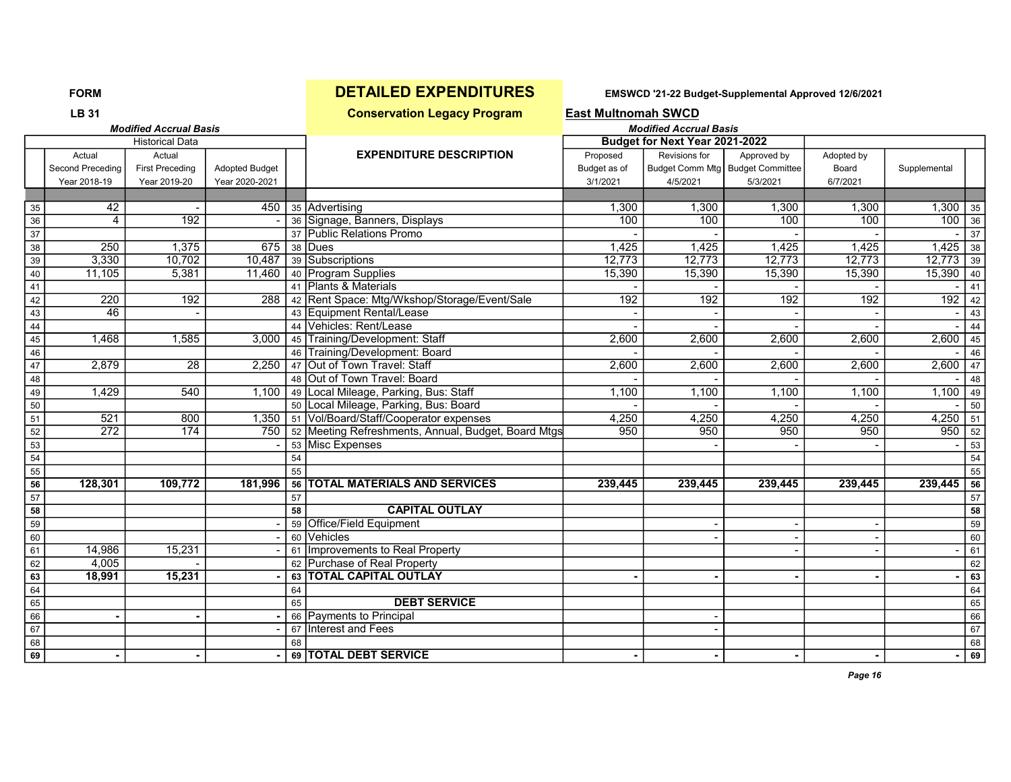### LB 31 Conservation Legacy Program East Multnomah SWCD Modified Accrual Basis Modified Accrual Basis Historical Data Budget for Next Year 2021-2022 Actual | Actual | T | EXPENDITURE DESCRIPTION | Proposed Revisions for | Approved by Adopted by Second Preceding First Preceding Adopted Budget Budget as of Budget Comm Mtg Budget Committee Board Supplemental Year 2018-19 Year 2019-20 Year 2020-2021 | | | 3/1/2021 | 4/5/2021 | 5/3/2021 | 6/7/2021 | 35 | 42 | - 1,300 | 35 | 450 | 36 | Advertising 1,300 | 1,300 | 1,300 | 1,300 | 1,300 | 1,300 | 35 36 4 192 - 36 Signage, Banners, Displays 100 100 100 100 100 100 36 37 37 Public Relations Promo - - - - - 37 38 | 250 | 1,375 | 675 | 38 |Dues | 1,425 | 1,425 | 1,425 | 1,425 | 1,425 | 1,425 | 1,425 | 38 39 39 3,330 10,702 10,487 39 Subscriptions 12,773 12,773 12,773 12,773 12,773 12,773 12,773 12,773 12,773 139 40 11,105 5,381 11,460 40 Program Supplies 15,390 15,390 15,390 15,390 15,390 15,390 15,390 15,390 15 41 41 Plants & Materials - - - - - 41 42 220 192 288 42 Rent Space: Mtg/Wkshop/Storage/Event/Sale 192 192 192 192 192 42 43 46 - 43 Equipment Rental/Lease - - - - - 43 44 44 Vehicles: Rent/Lease - - - - - - - - - - - 44<br>45 44 44 44 Vehicles: Rent/Lease - - - - - - - - - - - - - - - - 44<br>45 45 45 45 5 3,000 45 Training/Development: Staff 2,600 2,600 2,600 2,600 2,600 45 45 1,468 1,585 3,000 45 Training/Development: Staff 2,600 2,600 2,600 2,600 2,600 2,600 46 46 Training/Development: Board - - - - - 46 47 2,879 28 2,250 47 Out of Town Travel: Staff 2,600 2,600 2,600 2,600 2,600 47 48 48 Out of Town Travel: Board - - - - - 48 49 1,429 540 1,100 49 Local Mileage, Parking, Bus: Staff 1,100 1,100 1,100 1,100 1,100 1,100 1,100 1,100 149 50 50 Local Mileage, Parking, Bus: Board - - - - - 50 51 521 800 1,350 51 Vol/Board/Staff/Cooperator expenses 8 4,250 4,250 4,250 4,250 4,250 4,250 51 52 272 174 750 52 Meeting Refreshments, Annual, Budget, Board Mtgs 950 950 950 950 950 52 53 - 53 Misc Expenses - - - - 53 54 54 54 55 55 55 56 128,301 109,772 181,996 56 TOTAL MATERIALS AND SERVICES 239,445 239,445 239,445 239,445 239,445 56 57 57 57 58 58 CAPITAL OUTLAY 58 59 - 59 Office/Field Equipment - - - 59 60 - 60 Vehicles - - - 60 61 14,986 15,231 - 61 Improvements to Real Property - - - 61 62 4.005 - 62 Purchase of Real Property 62 Australian Contract Contract of G2 63 18,991 15,231 - 63 TOTAL CAPITAL OUTLAY - - - - - - - - - - - - - - - - - - 63 64 64 64 65 65 DEBT SERVICE 65 66 - - - 66 Payments to Principal - 66 67 - 67 Interest and Fees - 67 68 68 68

69 - - - - 69 TOTAL DEBT SERVICE - - - - - - - - - - - - - - - - - - 69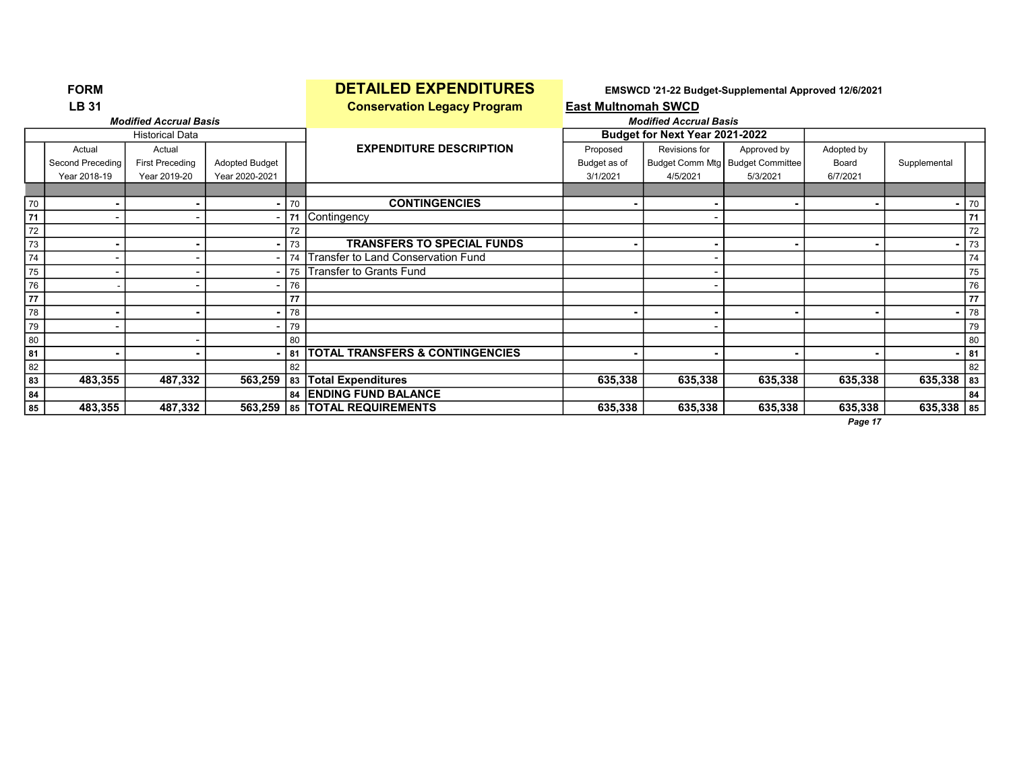|    | <b>FURM</b>      |                               |                |      | <u>DETAILED EAPENDITURES</u>               |                            |                                | EMSWCD 21-22 Budget-Supplemental Approved 12/6/2021 |            |                |    |
|----|------------------|-------------------------------|----------------|------|--------------------------------------------|----------------------------|--------------------------------|-----------------------------------------------------|------------|----------------|----|
|    | <b>LB 31</b>     |                               |                |      | <b>Conservation Legacy Program</b>         | <b>East Multnomah SWCD</b> |                                |                                                     |            |                |    |
|    |                  | <b>Modified Accrual Basis</b> |                |      |                                            |                            | <b>Modified Accrual Basis</b>  |                                                     |            |                |    |
|    |                  | <b>Historical Data</b>        |                |      |                                            |                            | Budget for Next Year 2021-2022 |                                                     |            |                |    |
|    | Actual           | Actual                        |                |      | <b>EXPENDITURE DESCRIPTION</b>             | Proposed                   | Revisions for                  | Approved by                                         | Adopted by |                |    |
|    | Second Preceding | <b>First Preceding</b>        | Adopted Budget |      |                                            | Budget as of               |                                | Budget Comm Mtg   Budget Committee                  | Board      | Supplemental   |    |
|    | Year 2018-19     | Year 2019-20                  | Year 2020-2021 |      |                                            | 3/1/2021                   | 4/5/2021                       | 5/3/2021                                            | 6/7/2021   |                |    |
|    |                  |                               |                |      |                                            |                            |                                |                                                     |            |                |    |
| 70 |                  |                               |                | 70   | <b>CONTINGENCIES</b>                       |                            |                                |                                                     |            | $\blacksquare$ | 70 |
| 71 |                  |                               |                | 71   | Contingency                                |                            |                                |                                                     |            |                | 71 |
| 72 |                  |                               |                | 72   |                                            |                            |                                |                                                     |            |                | 72 |
| 73 |                  |                               |                | 73   | <b>TRANSFERS TO SPECIAL FUNDS</b>          |                            |                                |                                                     |            | $\sim$         | 73 |
| 74 |                  |                               |                | 74   | Transfer to Land Conservation Fund         |                            |                                |                                                     |            |                | 74 |
| 75 |                  |                               |                | 75 l | <b>Transfer to Grants Fund</b>             |                            |                                |                                                     |            |                | 75 |
| 76 |                  |                               |                | 76   |                                            |                            |                                |                                                     |            |                | 76 |
| 77 |                  |                               |                | 77   |                                            |                            |                                |                                                     |            |                | 77 |
| 78 |                  |                               |                | 78   |                                            |                            |                                |                                                     |            | $\blacksquare$ | 78 |
| 79 |                  |                               |                | 79   |                                            |                            |                                |                                                     |            |                | 79 |
| 80 |                  |                               |                | 80   |                                            |                            |                                |                                                     |            |                | 80 |
| 81 |                  |                               |                | 81   | <b>TOTAL TRANSFERS &amp; CONTINGENCIES</b> |                            |                                |                                                     |            |                | 81 |
| 82 |                  |                               |                | 82   |                                            |                            |                                |                                                     |            |                | 82 |
| 83 | 483,355          | 487,332                       | 563,259        |      | 83 Total Expenditures                      | 635,338                    | 635,338                        | 635,338                                             | 635,338    | $635,338$ 83   |    |
| 84 |                  |                               |                |      | 84 ENDING FUND BALANCE                     |                            |                                |                                                     |            |                | 84 |
| 85 | 483,355          | 487,332                       | 563,259        |      | 85   TOTAL REQUIREMENTS                    | 635,338                    | 635,338                        | 635,338                                             | 635,338    | $635,338$ 85   |    |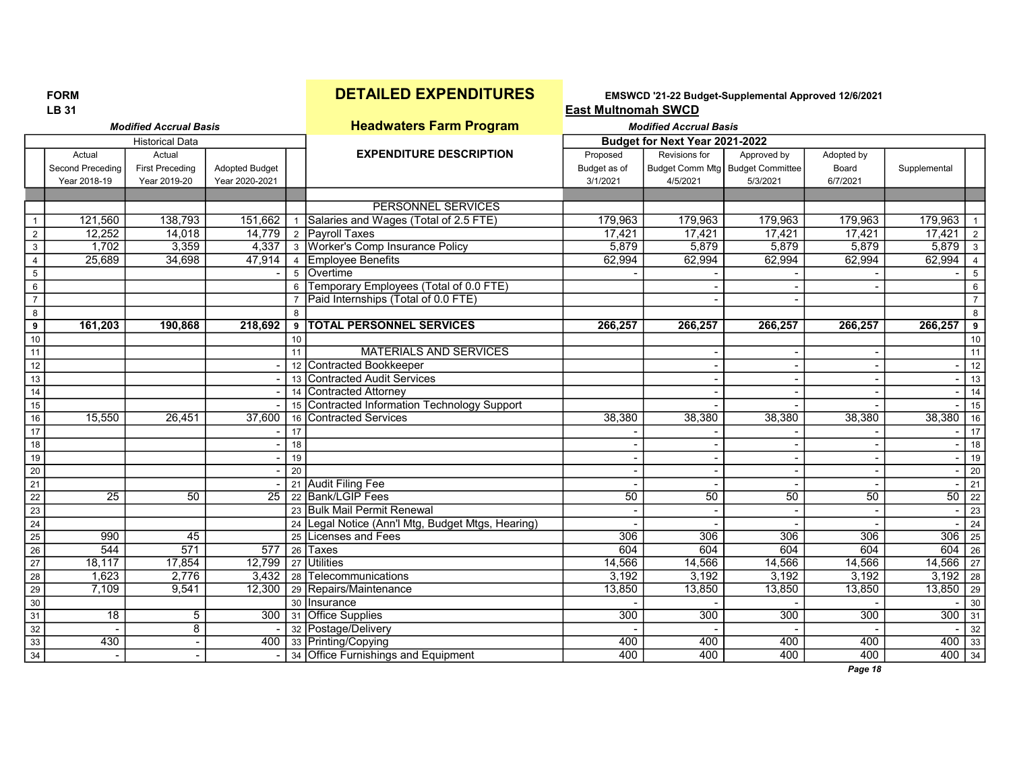FORM **DETAILED EXPENDITURES** EMSWCD '21-22 Budget-Supplemental Approved 12/6/2021<br>LB 31 **East Multnomah SWCD** 

### **Modified Accrual Basis Headwaters Farm Program Modified Accrual Basis** Modified Accrual Basis

|                  |                          | <b>Historical Data</b> |                       |             |                                                   |                  | Budget for Next Year 2021-2022 |                                    |                  |                                                                       |                             |
|------------------|--------------------------|------------------------|-----------------------|-------------|---------------------------------------------------|------------------|--------------------------------|------------------------------------|------------------|-----------------------------------------------------------------------|-----------------------------|
|                  | Actual                   | Actual                 |                       |             | <b>EXPENDITURE DESCRIPTION</b>                    | Proposed         | Revisions for                  | Approved by                        | Adopted by       |                                                                       |                             |
|                  | Second Preceding         | <b>First Preceding</b> | <b>Adopted Budget</b> |             |                                                   | Budget as of     |                                | Budget Comm Mtg   Budget Committee | Board            | Supplemental                                                          |                             |
|                  | Year 2018-19             | Year 2019-20           | Year 2020-2021        |             |                                                   | 3/1/2021         | 4/5/2021                       | 5/3/2021                           | 6/7/2021         |                                                                       |                             |
|                  |                          |                        |                       |             |                                                   |                  |                                |                                    |                  |                                                                       |                             |
|                  |                          |                        |                       |             | PERSONNEL SERVICES                                |                  |                                |                                    |                  |                                                                       |                             |
|                  | 121,560                  | 138,793                | 151,662               |             | 1 Salaries and Wages (Total of 2.5 FTE)           | 179,963          | 179,963                        | 179,963                            | 179,963          | 179,963                                                               |                             |
| $\overline{2}$   | 12,252                   | 14,018                 | 14,779                |             | 2 Payroll Taxes                                   | 17,421           | 17,421                         | 17,421                             | 17,421           | 17,421                                                                | $\overline{2}$              |
| $\mathbf{3}$     | 1,702                    | 3,359                  |                       |             | 4,337   3   Worker's Comp Insurance Policy        | 5,879            | 5,879                          | 5,879                              | 5,879            | $5,879$ 3                                                             |                             |
| $\overline{4}$   | 25,689                   | 34,698                 |                       |             | 47,914 4 Employee Benefits                        | 62,994           | 62,994                         | 62,994                             | 62,994           | 62,994                                                                | $\overline{4}$              |
| $\,$ 5 $\,$      |                          |                        |                       | $5^{\circ}$ | Overtime                                          |                  |                                |                                    |                  |                                                                       | 5                           |
| $6\,$            |                          |                        |                       | 6           | Temporary Employees (Total of 0.0 FTE)            |                  |                                |                                    |                  |                                                                       | 6                           |
| $\overline{7}$   |                          |                        |                       |             | Paid Internships (Total of 0.0 FTE)               |                  |                                |                                    |                  |                                                                       | $\overline{7}$              |
| 8                |                          |                        |                       | 8           |                                                   |                  |                                |                                    |                  |                                                                       | 8                           |
| $\boldsymbol{9}$ | 161,203                  | 190,868                | 218,692               | 9           | <b>TOTAL PERSONNEL SERVICES</b>                   | 266,257          | 266,257                        | 266,257                            | 266,257          | 266,257                                                               | 9                           |
| 10               |                          |                        |                       | 10          |                                                   |                  |                                |                                    |                  |                                                                       | 10                          |
| 11               |                          |                        |                       | 11          | <b>MATERIALS AND SERVICES</b>                     |                  |                                |                                    |                  |                                                                       | 11                          |
| 12               |                          |                        |                       |             | 12 Contracted Bookkeeper                          |                  |                                |                                    |                  |                                                                       | 12                          |
| 13               |                          |                        |                       |             | 13 Contracted Audit Services                      |                  |                                |                                    |                  |                                                                       | $\overline{13}$             |
| 14               |                          |                        |                       |             | 14 Contracted Attorney                            |                  |                                |                                    |                  |                                                                       | 14                          |
| 15               |                          |                        |                       |             | 15 Contracted Information Technology Support      |                  |                                |                                    |                  |                                                                       | 15                          |
| 16               | 15,550                   | 26,451                 | 37,600                |             | 16 Contracted Services                            | 38,380           | 38,380                         | 38,380                             | 38,380           | 38,380                                                                | 16                          |
| 17               |                          |                        |                       | 17          |                                                   |                  |                                |                                    |                  |                                                                       | 17                          |
| 18               |                          |                        |                       | 18          |                                                   |                  |                                |                                    |                  |                                                                       | 18                          |
| 19               |                          |                        |                       | 19          |                                                   |                  |                                |                                    |                  |                                                                       | 19                          |
| 20               |                          |                        |                       | 20          |                                                   |                  |                                |                                    |                  |                                                                       | 20                          |
| $\overline{21}$  |                          |                        |                       |             | 21 Audit Filing Fee                               |                  |                                |                                    |                  |                                                                       | 21                          |
| $\overline{22}$  | $\overline{25}$          | 50                     | 25                    |             | 22 Bank/LGIP Fees                                 | 50               | 50                             | 50                                 | 50               |                                                                       | $50 \overline{\smash{)}22}$ |
| $\overline{23}$  |                          |                        |                       |             | 23 Bulk Mail Permit Renewal                       |                  |                                |                                    |                  |                                                                       | 23                          |
| 24               |                          |                        |                       |             | 24 Legal Notice (Ann'l Mtg, Budget Mtgs, Hearing) |                  |                                |                                    |                  |                                                                       | $\overline{24}$             |
| 25               | 990                      | 45                     |                       |             | 25 Licenses and Fees                              | $\overline{306}$ | 306                            | 306                                | 306              | $\begin{array}{ c c c c c }\n\hline\n306 & 25 \\ \hline\n\end{array}$ |                             |
| $\overline{26}$  | 544                      | 571                    | 577                   |             | 26 Taxes                                          | 604              | 604                            | 604                                | 604              | 604                                                                   | $\sqrt{26}$                 |
| $\overline{27}$  | 18,117                   | 17,854                 | 12,799                |             | 27 Utilities                                      | 14,566           | 14,566                         | 14,566                             | 14,566           | 14,566                                                                | 27                          |
| $28$             | 1.623                    | 2,776                  |                       |             | 3,432 28 Telecommunications                       | 3,192            | 3,192                          | 3,192                              | 3,192            | 3,192                                                                 | 28                          |
| 29               | 7,109                    | 9,541                  | 12,300                |             | 29 Repairs/Maintenance                            | 13,850           | 13,850                         | 13,850                             | 13,850           | 13,850                                                                | 29                          |
| 30               |                          |                        |                       |             | 30 Insurance                                      |                  |                                |                                    |                  |                                                                       | 30                          |
| $\overline{31}$  | $\overline{18}$          | 5                      |                       |             | 300 31 Office Supplies                            | 300              | 300                            | $\overline{300}$                   | $\overline{300}$ | 300                                                                   | 31                          |
| $\overline{32}$  |                          | $\overline{8}$         |                       |             | 32 Postage/Delivery                               |                  |                                |                                    |                  |                                                                       | 32                          |
| 33               | 430                      |                        |                       |             | 400 33 Printing/Copying                           | 400              | 400                            | 400                                | 400              | $400$ 33                                                              |                             |
| $\overline{34}$  | $\overline{\phantom{a}}$ |                        |                       |             | 34 Office Furnishings and Equipment               | 400              | 400                            | 400                                | 400              | $400$ 34                                                              |                             |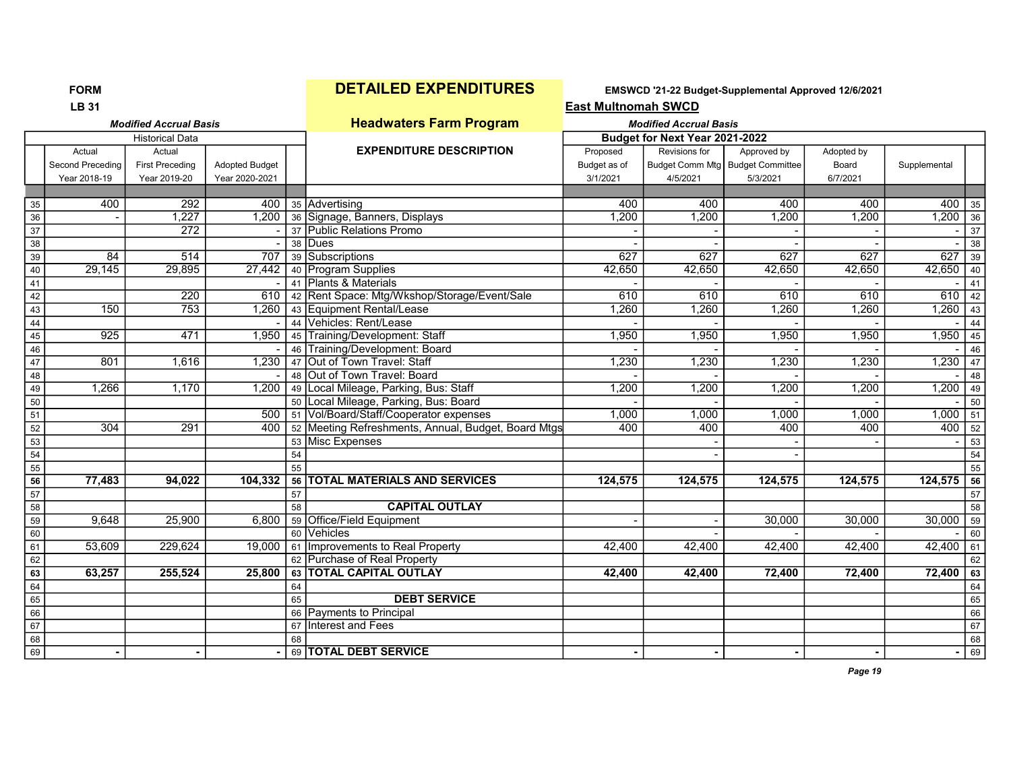FORM **DETAILED EXPENDITURES** EMSWCD '21-22 Budget-Supplemental Approved 12/6/2021

|                 | <b>LB 31</b><br><b>Modified Accrual Basis</b><br><b>Historical Data</b> |                        |                       |    |                                                     | <b>East Multnomah SWCD</b> |                                |                                    |            |              |                 |
|-----------------|-------------------------------------------------------------------------|------------------------|-----------------------|----|-----------------------------------------------------|----------------------------|--------------------------------|------------------------------------|------------|--------------|-----------------|
|                 |                                                                         |                        |                       |    | <b>Headwaters Farm Program</b>                      |                            | <b>Modified Accrual Basis</b>  |                                    |            |              |                 |
|                 |                                                                         |                        |                       |    |                                                     |                            | Budget for Next Year 2021-2022 |                                    |            |              |                 |
|                 | Actual                                                                  | Actual                 |                       |    | <b>EXPENDITURE DESCRIPTION</b>                      | Proposed                   | Revisions for                  | Approved by                        | Adopted by |              |                 |
|                 | Second Preceding                                                        | <b>First Preceding</b> | <b>Adopted Budget</b> |    |                                                     | Budget as of               |                                | Budget Comm Mtg   Budget Committee | Board      | Supplemental |                 |
|                 | Year 2018-19                                                            | Year 2019-20           | Year 2020-2021        |    |                                                     | 3/1/2021                   | 4/5/2021                       | 5/3/2021                           | 6/7/2021   |              |                 |
|                 |                                                                         |                        |                       |    |                                                     |                            |                                |                                    |            |              |                 |
| 35              | 400                                                                     | 292                    | 400                   |    | 35 Advertising                                      | 400                        | 400                            | 400                                | 400        | 400          | 35              |
| 36              |                                                                         | 1,227                  | 1,200                 |    | 36 Signage, Banners, Displays                       | 1,200                      | 1,200                          | 1,200                              | 1,200      | $1,200$ 36   |                 |
| $\overline{37}$ |                                                                         | 272                    |                       |    | 37 Public Relations Promo                           |                            |                                |                                    |            |              | 37              |
| $\overline{38}$ |                                                                         |                        |                       |    | 38 Dues                                             |                            |                                |                                    |            |              | $\overline{38}$ |
| 39              | 84                                                                      | 514                    | 707                   |    | 39 Subscriptions                                    | 627                        | 627                            | 627                                | 627        | 627          | 39              |
| $40\,$          | 29,145                                                                  | 29,895                 | 27,442                |    | 40 Program Supplies                                 | 42,650                     | 42,650                         | 42,650                             | 42,650     | $42,650$ 40  |                 |
| 41              |                                                                         |                        |                       |    | 41 Plants & Materials                               |                            |                                |                                    |            |              | 41              |
| 42              |                                                                         | 220                    | 610                   |    | 42 Rent Space: Mtg/Wkshop/Storage/Event/Sale        | 610                        | 610                            | 610                                | 610        | 610          | 42              |
| 43              | 150                                                                     | 753                    | 1,260                 |    | 43 Equipment Rental/Lease                           | 1,260                      | 1,260                          | 1,260                              | 1,260      | $1,260$ 43   |                 |
| 44              |                                                                         |                        |                       |    | 44 Vehicles: Rent/Lease                             |                            |                                |                                    |            |              | 44              |
| $45\,$          | 925                                                                     | 471                    | 1,950                 |    | 45 Training/Development: Staff                      | 1,950                      | 1,950                          | 1,950                              | 1,950      | 1,950        | 45              |
| 46              |                                                                         |                        |                       | 46 | Training/Development: Board                         |                            |                                |                                    |            |              | 46              |
| 47              | 801                                                                     | 1,616                  | 1,230                 |    | 47 Out of Town Travel: Staff                        | 1,230                      | 1,230                          | 1,230                              | 1,230      | $1,230$ 47   |                 |
| 48              |                                                                         |                        |                       |    | 48 Out of Town Travel: Board                        |                            |                                |                                    |            |              | 48              |
| 49              | 1,266                                                                   | 1,170                  | 1,200                 |    | 49 Local Mileage, Parking, Bus: Staff               | 1,200                      | 1,200                          | 1,200                              | 1,200      | 1,200        | 49              |
| 50              |                                                                         |                        |                       |    | 50 Local Mileage, Parking, Bus: Board               |                            |                                |                                    |            |              | 50              |
| $\overline{51}$ |                                                                         |                        | 500                   |    | 51 Vol/Board/Staff/Cooperator expenses              | 1,000                      | 1,000                          | 1,000                              | 1,000      | $1,000$ 51   |                 |
| 52              | 304                                                                     | 291                    | 400                   |    | 52 Meeting Refreshments, Annual, Budget, Board Mtgs | 400                        | 400                            | 400                                | 400        | $400$ 52     |                 |
| 53              |                                                                         |                        |                       |    | 53 Misc Expenses                                    |                            |                                |                                    |            |              | $\overline{53}$ |
| 54              |                                                                         |                        |                       | 54 |                                                     |                            |                                |                                    |            |              | 54              |
| $55$            |                                                                         |                        |                       | 55 |                                                     |                            |                                |                                    |            |              | $\overline{55}$ |
| 56              | 77,483                                                                  | 94,022                 | 104,332               |    | 56   TOTAL MATERIALS AND SERVICES                   | 124,575                    | 124,575                        | 124,575                            | 124,575    | $124,575$ 56 |                 |
| 57              |                                                                         |                        |                       | 57 |                                                     |                            |                                |                                    |            |              | $\overline{57}$ |
| 58              |                                                                         |                        |                       | 58 | <b>CAPITAL OUTLAY</b>                               |                            |                                |                                    |            |              | 58              |
| $\overline{59}$ | 9.648                                                                   | 25,900                 | 6,800                 |    | 59 Office/Field Equipment                           |                            |                                | 30,000                             | 30,000     | 30,000       | $\overline{59}$ |
| 60              |                                                                         |                        |                       |    | 60 Vehicles                                         |                            |                                |                                    |            |              | 60              |
| 61              | 53,609                                                                  | 229,624                | 19,000                |    | 61   Improvements to Real Property                  | 42,400                     | 42,400                         | 42,400                             | 42,400     | $42,400$ 61  |                 |
| 62              |                                                                         |                        |                       |    | 62 Purchase of Real Property                        |                            |                                |                                    |            |              | 62              |
| 63              | 63,257                                                                  | 255,524                | 25,800                |    | 63   TOTAL CAPITAL OUTLAY                           | 42,400                     | 42,400                         | 72,400                             | 72,400     | 72,400       | 63              |
| 64              |                                                                         |                        |                       | 64 |                                                     |                            |                                |                                    |            |              | 64              |
| 65              |                                                                         |                        |                       | 65 | <b>DEBT SERVICE</b>                                 |                            |                                |                                    |            |              | 65              |
| 66              |                                                                         |                        |                       |    | 66 Payments to Principal                            |                            |                                |                                    |            |              | 66              |
| 67              |                                                                         |                        |                       |    | 67 Interest and Fees                                |                            |                                |                                    |            |              | 67              |
| 68              |                                                                         |                        |                       | 68 |                                                     |                            |                                |                                    |            |              | 68              |
| 69              |                                                                         |                        |                       |    | 69 TOTAL DEBT SERVICE                               |                            |                                |                                    |            |              | $\overline{69}$ |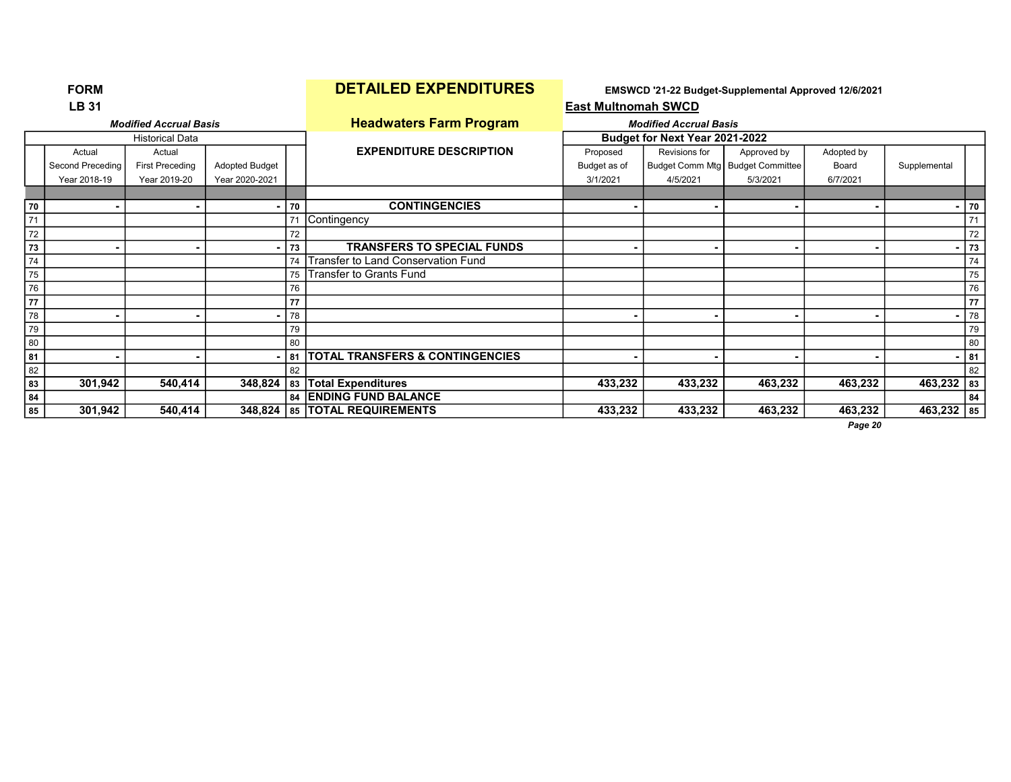# FORM **DETAILED EXPENDITURES** EMSWCD '21-22 Budget-Supplemental Approved 12/6/2021<br>
East Multnomah SWCD

|    | <b>LB 31</b>     |                               |                |    |                                      | <b>East Multnomah SWCD</b> |                                |                                    |                |              |        |
|----|------------------|-------------------------------|----------------|----|--------------------------------------|----------------------------|--------------------------------|------------------------------------|----------------|--------------|--------|
|    |                  | <b>Modified Accrual Basis</b> |                |    | <b>Headwaters Farm Program</b>       |                            | <b>Modified Accrual Basis</b>  |                                    |                |              |        |
|    |                  | <b>Historical Data</b>        |                |    |                                      |                            | Budget for Next Year 2021-2022 |                                    |                |              |        |
|    | Actual           | Actual                        |                |    | <b>EXPENDITURE DESCRIPTION</b>       | Proposed                   | Revisions for                  | Approved by                        | Adopted by     |              |        |
|    | Second Preceding | <b>First Preceding</b>        | Adopted Budget |    |                                      | Budget as of               |                                | Budget Comm Mtg   Budget Committee | Board          | Supplemental |        |
|    | Year 2018-19     | Year 2019-20                  | Year 2020-2021 |    |                                      | 3/1/2021                   | 4/5/2021                       | 5/3/2021                           | 6/7/2021       |              |        |
|    |                  |                               |                |    |                                      |                            |                                |                                    |                |              |        |
| 70 |                  |                               |                | 70 | <b>CONTINGENCIES</b>                 |                            | ۰                              |                                    | $\blacksquare$ |              | $- 70$ |
| 71 |                  |                               |                |    | 71 Contingency                       |                            |                                |                                    |                |              | 71     |
| 72 |                  |                               |                | 72 |                                      |                            |                                |                                    |                |              | 72     |
| 73 |                  |                               |                | 73 | <b>TRANSFERS TO SPECIAL FUNDS</b>    |                            |                                |                                    | $\blacksquare$ |              | 73     |
| 74 |                  |                               |                | 74 | Transfer to Land Conservation Fund   |                            |                                |                                    |                |              | 74     |
| 75 |                  |                               |                | 75 | Transfer to Grants Fund              |                            |                                |                                    |                |              | 75     |
| 76 |                  |                               |                | 76 |                                      |                            |                                |                                    |                |              | 76     |
| 77 |                  |                               |                | 77 |                                      |                            |                                |                                    |                |              | 77     |
| 78 |                  |                               |                | 78 |                                      |                            | $\blacksquare$                 |                                    | $\blacksquare$ |              | 78     |
| 79 |                  |                               |                | 79 |                                      |                            |                                |                                    |                |              | 79     |
| 80 |                  |                               |                | 80 |                                      |                            |                                |                                    |                |              | 80     |
| 81 |                  |                               |                |    | 81   TOTAL TRANSFERS & CONTINGENCIES |                            |                                |                                    |                |              | 81     |
| 82 |                  |                               |                | 82 |                                      |                            |                                |                                    |                |              | 82     |
| 83 | 301,942          | 540,414                       | 348,824        |    | 83 Total Expenditures                | 433,232                    | 433,232                        | 463,232                            | 463,232        | $463,232$ 83 |        |
| 84 |                  |                               |                |    | 84 ENDING FUND BALANCE               |                            |                                |                                    |                |              | 84     |
| 85 | 301,942          | 540,414                       | 348,824        |    | 85   TOTAL REQUIREMENTS              | 433,232                    | 433,232                        | 463,232                            | 463,232        | 463,232 85   |        |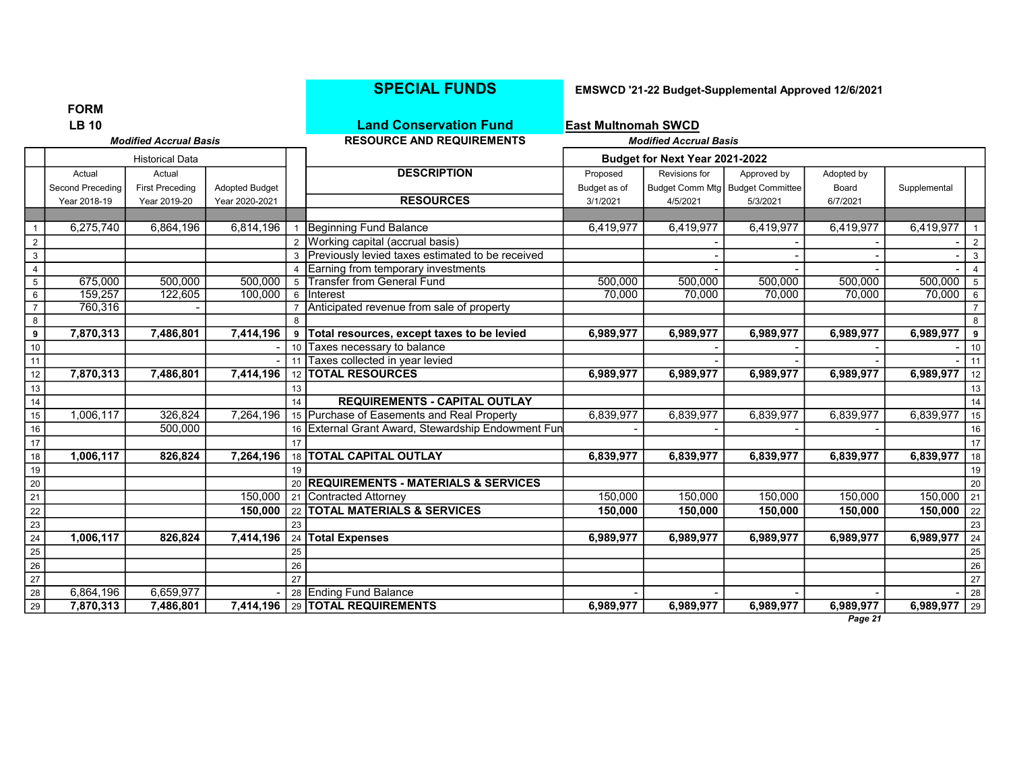|                 | ויורוש ו                                      |                        |                       |                 |                                                    |                            |                                |                                    |            |                       |                 |
|-----------------|-----------------------------------------------|------------------------|-----------------------|-----------------|----------------------------------------------------|----------------------------|--------------------------------|------------------------------------|------------|-----------------------|-----------------|
|                 | <b>LB 10</b><br><b>Modified Accrual Basis</b> |                        |                       |                 | <b>Land Conservation Fund</b>                      | <b>East Multnomah SWCD</b> |                                |                                    |            |                       |                 |
|                 |                                               |                        |                       |                 | <b>RESOURCE AND REQUIREMENTS</b>                   |                            | <b>Modified Accrual Basis</b>  |                                    |            |                       |                 |
|                 |                                               | <b>Historical Data</b> |                       |                 |                                                    |                            | Budget for Next Year 2021-2022 |                                    |            |                       |                 |
|                 | Actual                                        | Actual                 |                       |                 | <b>DESCRIPTION</b>                                 | Proposed                   | Revisions for                  | Approved by                        | Adopted by |                       |                 |
|                 | Second Preceding                              | <b>First Preceding</b> | <b>Adopted Budget</b> |                 |                                                    | Budget as of               |                                | Budget Comm Mtg   Budget Committee | Board      | Supplemental          |                 |
|                 | Year 2018-19                                  | Year 2019-20           | Year 2020-2021        |                 | <b>RESOURCES</b>                                   | 3/1/2021                   | 4/5/2021                       | 5/3/2021                           | 6/7/2021   |                       |                 |
|                 |                                               |                        |                       |                 |                                                    |                            |                                |                                    |            |                       |                 |
|                 | 6,275,740                                     | 6,864,196              | 6,814,196             |                 | Beginning Fund Balance                             | 6,419,977                  | 6,419,977                      | 6,419,977                          | 6,419,977  | 6,419,977             |                 |
| $\overline{2}$  |                                               |                        |                       |                 | 2 Working capital (accrual basis)                  |                            |                                |                                    |            |                       | $\overline{2}$  |
| 3               |                                               |                        |                       |                 | 3 Previously levied taxes estimated to be received |                            |                                |                                    |            |                       | $\mathbf{3}$    |
| $\overline{4}$  |                                               |                        |                       |                 | 4 Earning from temporary investments               |                            |                                |                                    |            |                       | $\overline{4}$  |
| $\frac{5}{6}$   | 675,000                                       | 500,000                | 500,000               | 5               | <b>Transfer from General Fund</b>                  | 500,000                    | 500,000                        | 500,000                            | 500,000    | 500,000               | $5\overline{)}$ |
|                 | 159,257                                       | 122,605                | 100,000               |                 | 6 Interest                                         | 70,000                     | 70,000                         | 70,000                             | 70,000     | 70,000                | $6\overline{6}$ |
| $\overline{7}$  | 760,316                                       |                        |                       | $\overline{7}$  | Anticipated revenue from sale of property          |                            |                                |                                    |            |                       | $\overline{7}$  |
| $\frac{8}{9}$   |                                               |                        |                       | 8               |                                                    |                            |                                |                                    |            |                       | 8               |
|                 | 7,870,313                                     | 7,486,801              | 7,414,196             | 9               | Total resources, except taxes to be levied         | 6,989,977                  | 6,989,977                      | 6,989,977                          | 6,989,977  | 6,989,977             | 9               |
| $\frac{10}{11}$ |                                               |                        |                       | 10 <sup>1</sup> | Taxes necessary to balance                         |                            |                                |                                    |            |                       | 10              |
|                 |                                               |                        |                       | 11              | Taxes collected in year levied                     |                            |                                |                                    |            |                       | 11              |
| $\overline{12}$ | 7,870,313                                     | 7,486,801              | 7,414,196             |                 | 12 <b>TOTAL RESOURCES</b>                          | 6,989,977                  | 6,989,977                      | 6,989,977                          | 6,989,977  | 6,989,977             | 12              |
| $\frac{13}{2}$  |                                               |                        |                       | 13              |                                                    |                            |                                |                                    |            |                       | 13              |
| $\frac{14}{1}$  |                                               |                        |                       | 14              | <b>REQUIREMENTS - CAPITAL OUTLAY</b>               |                            |                                |                                    |            |                       | 14              |
| $\overline{15}$ | 1,006,117                                     | 326,824                | 7,264,196             |                 | 15 Purchase of Easements and Real Property         | 6,839,977                  | 6,839,977                      | 6,839,977                          | 6,839,977  | 6,839,977             | 15              |
| 16              |                                               | 500,000                |                       |                 | 16 External Grant Award, Stewardship Endowment Fun |                            |                                |                                    |            |                       | 16              |
| 17              |                                               |                        |                       | 17              |                                                    |                            |                                |                                    |            |                       | 17              |
| 18              | 1,006,117                                     | 826,824                | 7,264,196             |                 | 18   TOTAL CAPITAL OUTLAY                          | 6,839,977                  | 6,839,977                      | 6,839,977                          | 6,839,977  | 6,839,977             | 18              |
| $\frac{19}{1}$  |                                               |                        |                       | 19              |                                                    |                            |                                |                                    |            |                       | 19              |
| $\frac{20}{2}$  |                                               |                        |                       |                 | 20 REQUIREMENTS - MATERIALS & SERVICES             |                            |                                |                                    |            |                       | 20              |
| $\frac{21}{1}$  |                                               |                        | 150,000               |                 | 21 Contracted Attorney                             | 150,000                    | 150,000                        | 150,000                            | 150,000    | 150,000               | 21              |
| $\frac{22}{ }$  |                                               |                        | 150,000               |                 | 22 TOTAL MATERIALS & SERVICES                      | 150,000                    | 150,000                        | 150,000                            | 150,000    | 150,000               | 22              |
| $\frac{23}{2}$  |                                               |                        |                       | 23              |                                                    |                            |                                |                                    |            | 6,989,977             | 23              |
| $\frac{24}{1}$  | 1,006,117                                     | 826,824                | 7,414,196 24          | 25              | <b>Total Expenses</b>                              | 6,989,977                  | 6,989,977                      | 6,989,977                          | 6,989,977  |                       | 24<br>25        |
| $\frac{25}{1}$  |                                               |                        |                       | 26              |                                                    |                            |                                |                                    |            |                       | 26              |
| $\frac{26}{27}$ |                                               |                        |                       | 27              |                                                    |                            |                                |                                    |            |                       | 27              |
| $\frac{28}{1}$  | 6,864,196                                     | 6,659,977              |                       |                 | 28 Ending Fund Balance                             |                            |                                |                                    |            |                       | 28              |
| 29              | 7,870,313                                     | 7,486,801              | 7,414,196             |                 | 29 TOTAL REQUIREMENTS                              | 6,989,977                  | 6,989,977                      | 6,989,977                          | 6,989,977  | 6,989,977 $\sqrt{29}$ |                 |
|                 |                                               |                        |                       |                 |                                                    |                            |                                |                                    |            |                       |                 |

### SPECIAL FUNDS EMSWCD '21-22 Budget-Supplemental Approved 12/6/2021

FORM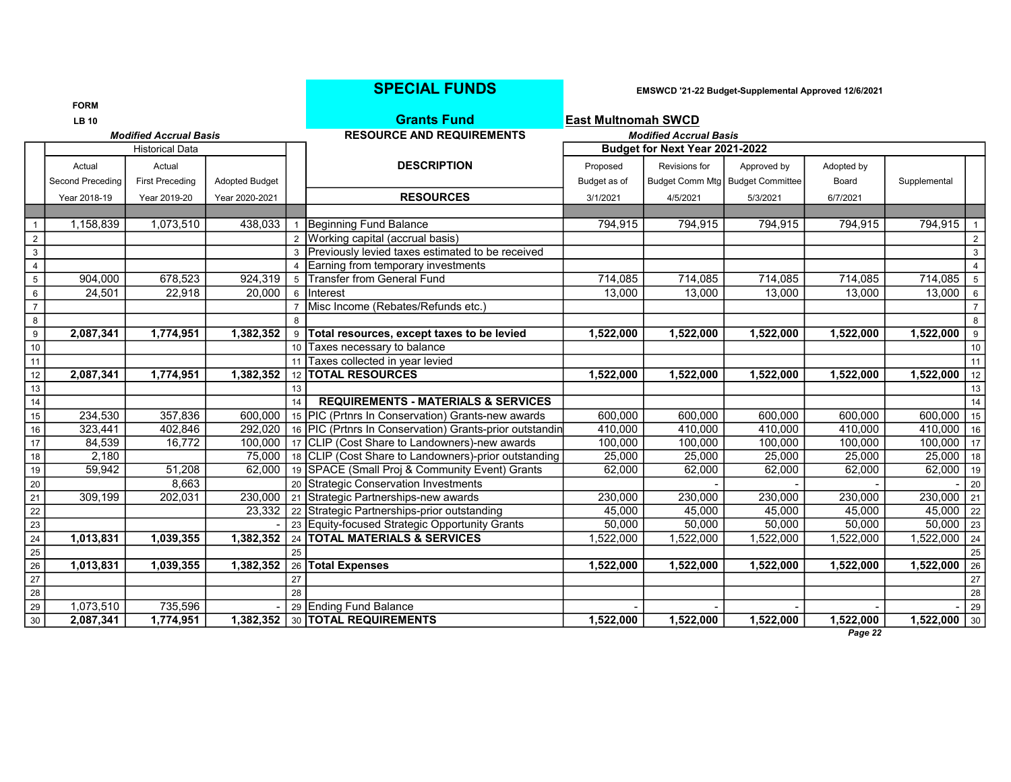|                  |                  |                               |                       |    | <b>SPECIAL FUNDS</b>                                    |                            |                                | EMSWCD '21-22 Budget-Supplemental Approved 12/6/2021 |            |              |                  |
|------------------|------------------|-------------------------------|-----------------------|----|---------------------------------------------------------|----------------------------|--------------------------------|------------------------------------------------------|------------|--------------|------------------|
|                  | <b>FORM</b>      |                               |                       |    |                                                         |                            |                                |                                                      |            |              |                  |
|                  | <b>LB 10</b>     |                               |                       |    | <b>Grants Fund</b>                                      | <b>East Multnomah SWCD</b> |                                |                                                      |            |              |                  |
|                  |                  | <b>Modified Accrual Basis</b> |                       |    | <b>RESOURCE AND REQUIREMENTS</b>                        |                            | <b>Modified Accrual Basis</b>  |                                                      |            |              |                  |
|                  |                  | <b>Historical Data</b>        |                       |    |                                                         |                            | Budget for Next Year 2021-2022 |                                                      |            |              |                  |
|                  | Actual           | Actual                        |                       |    | <b>DESCRIPTION</b>                                      | Proposed                   | Revisions for                  | Approved by                                          | Adopted by |              |                  |
|                  | Second Preceding | <b>First Preceding</b>        | <b>Adopted Budget</b> |    |                                                         | Budget as of               |                                | Budget Comm Mtg   Budget Committee                   | Board      | Supplemental |                  |
|                  | Year 2018-19     | Year 2019-20                  | Year 2020-2021        |    | <b>RESOURCES</b>                                        | 3/1/2021                   | 4/5/2021                       | 5/3/2021                                             | 6/7/2021   |              |                  |
|                  |                  |                               |                       |    |                                                         |                            |                                |                                                      |            |              |                  |
| $\overline{1}$   | 1,158,839        | 1,073,510                     | 438,033               | 1  | Beginning Fund Balance                                  | 794,915                    | 794,915                        | 794,915                                              | 794,915    | 794,915      | $\mathbf{1}$     |
| 2                |                  |                               |                       |    | 2 Working capital (accrual basis)                       |                            |                                |                                                      |            |              | $\overline{2}$   |
| $\mathbf{3}$     |                  |                               |                       |    | 3 Previously levied taxes estimated to be received      |                            |                                |                                                      |            |              | $\mathbf{3}$     |
| $\overline{4}$   |                  |                               |                       |    | Earning from temporary investments                      |                            |                                |                                                      |            |              | $\overline{4}$   |
| $\overline{5}$   | 904,000          | 678,523                       | 924,319               |    | 5 Transfer from General Fund                            | 714,085                    | 714,085                        | 714,085                                              | 714,085    | 714,085      | $5\overline{)}$  |
| 6                | 24,501           | 22,918                        | 20,000                |    | 6 Interest                                              | 13,000                     | 13,000                         | 13,000                                               | 13,000     | 13,000       | 6                |
| $\overline{7}$   |                  |                               |                       |    | Misc Income (Rebates/Refunds etc.)                      |                            |                                |                                                      |            |              | $7^{\circ}$      |
| 8                |                  |                               |                       | R  |                                                         |                            |                                |                                                      |            |              | 8                |
| $\boldsymbol{9}$ | 2,087,341        | 1,774,951                     | 1,382,352             | 9  | Total resources, except taxes to be levied              | 1,522,000                  | 1,522,000                      | 1,522,000                                            | 1,522,000  | 1,522,000    | $\boldsymbol{9}$ |
| 10               |                  |                               |                       |    | 10 Taxes necessary to balance                           |                            |                                |                                                      |            |              | 10               |
| 11               |                  |                               |                       |    | 11 Taxes collected in year levied                       |                            |                                |                                                      |            |              | 11               |
| 12               | 2,087,341        | 1,774,951                     | 1,382,352             |    | 12 <b>TOTAL RESOURCES</b>                               | 1,522,000                  | 1,522,000                      | 1,522,000                                            | 1,522,000  | 1,522,000    | 12               |
| 13               |                  |                               |                       | 13 |                                                         |                            |                                |                                                      |            |              | 13               |
| 14               |                  |                               |                       | 14 | <b>REQUIREMENTS - MATERIALS &amp; SERVICES</b>          |                            |                                |                                                      |            |              | 14               |
| 15               | 234,530          | 357,836                       | 600.000               |    | 15   PIC (Prtnrs In Conservation) Grants-new awards     | 600,000                    | 600,000                        | 600,000                                              | 600,000    | 600,000      | 15               |
| 16               | 323,441          | 402,846                       | 292,020               |    | 16 PIC (Prtnrs In Conservation) Grants-prior outstandin | 410,000                    | 410,000                        | 410,000                                              | 410,000    | 410,000      | 16               |
| 17               | 84,539           | 16,772                        | 100.000               |    | 17 CLIP (Cost Share to Landowners)-new awards           | 100,000                    | 100,000                        | 100,000                                              | 100,000    | 100,000      | 17               |
| 18               | 2,180            |                               | 75.000                |    | 18 CLIP (Cost Share to Landowners)-prior outstanding    | 25,000                     | 25,000                         | 25,000                                               | 25,000     | 25,000       | 18               |
| $19$             | 59,942           | 51,208                        | 62,000                |    | 19 SPACE (Small Proj & Community Event) Grants          | 62,000                     | 62,000                         | 62,000                                               | 62,000     | 62,000       | 19               |
| 20               |                  | 8,663                         |                       |    | 20 Strategic Conservation Investments                   |                            |                                |                                                      |            |              | 20               |
| $\overline{21}$  | 309,199          | 202,031                       | 230,000               |    | 21 Strategic Partnerships-new awards                    | 230,000                    | 230,000                        | 230,000                                              | 230,000    | 230,000      | 21               |
| $\overline{22}$  |                  |                               | 23,332                |    | 22 Strategic Partnerships-prior outstanding             | 45,000                     | 45,000                         | 45,000                                               | 45,000     | 45,000       | 22               |
| 23               |                  |                               |                       |    | 23 Equity-focused Strategic Opportunity Grants          | 50,000                     | 50,000                         | 50,000                                               | 50,000     | 50,000       | 23               |
| 24               | 1,013,831        | 1,039,355                     | 1,382,352             |    | 24 TOTAL MATERIALS & SERVICES                           | 1,522,000                  | 1,522,000                      | 1,522,000                                            | 1,522,000  | 1,522,000    | 24               |
| 25               |                  |                               |                       | 25 |                                                         |                            |                                |                                                      |            |              | 25               |
| $\overline{26}$  | 1,013,831        | 1,039,355                     | 1,382,352             |    | 26 Total Expenses                                       | 1,522,000                  | 1,522,000                      | 1,522,000                                            | 1,522,000  | 1,522,000    | 26               |
| 27               |                  |                               |                       | 27 |                                                         |                            |                                |                                                      |            |              | $27\,$           |
| $\overline{28}$  |                  |                               |                       | 28 |                                                         |                            |                                |                                                      |            |              | 28               |
| 29               | 1,073,510        | 735,596                       |                       |    | 29 Ending Fund Balance                                  |                            |                                |                                                      |            |              | 29               |
| 30               | 2,087,341        | 1,774,951                     | 1.382.352             |    | 30 <b>TOTAL REQUIREMENTS</b>                            | 1,522,000                  | 1,522,000                      | 1,522,000                                            | 1,522,000  | 1,522,000    | 30               |
|                  |                  |                               |                       |    |                                                         |                            |                                |                                                      | Page 22    |              |                  |